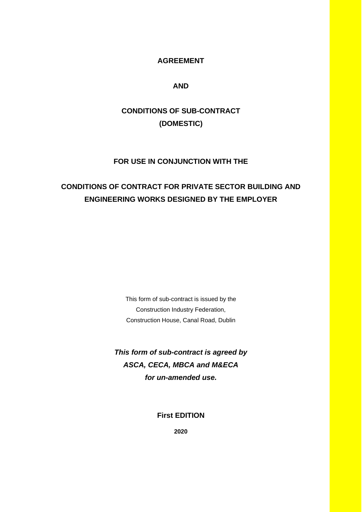## **AGREEMENT**

## **AND**

# **CONDITIONS OF SUB-CONTRACT (DOMESTIC)**

## **FOR USE IN CONJUNCTION WITH THE**

## **CONDITIONS OF CONTRACT FOR PRIVATE SECTOR BUILDING AND ENGINEERING WORKS DESIGNED BY THE EMPLOYER**

This form of sub-contract is issued by the Construction Industry Federation, Construction House, Canal Road, Dublin

*This form of sub-contract is agreed by ASCA, CECA, MBCA and M&ECA for un-amended use.* 

**First EDITION**

**2020**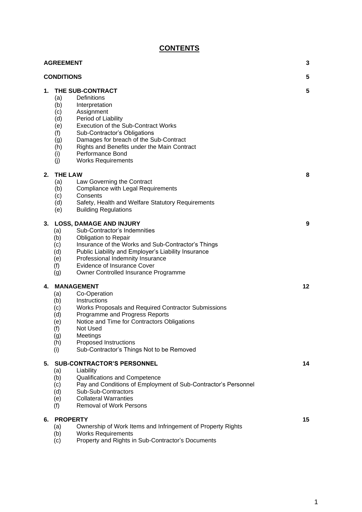## **CONTENTS**

|    | <b>AGREEMENT</b>                                                                                                                                                                                                                                                                                                                                                                            | 3       |
|----|---------------------------------------------------------------------------------------------------------------------------------------------------------------------------------------------------------------------------------------------------------------------------------------------------------------------------------------------------------------------------------------------|---------|
|    | <b>CONDITIONS</b>                                                                                                                                                                                                                                                                                                                                                                           | 5       |
| 1. | THE SUB-CONTRACT<br><b>Definitions</b><br>(a)<br>(b)<br>Interpretation<br>Assignment<br>(c)<br>Period of Liability<br>(d)<br><b>Execution of the Sub-Contract Works</b><br>(e)<br>(f)<br>Sub-Contractor's Obligations<br>Damages for breach of the Sub-Contract<br>(g)<br>Rights and Benefits under the Main Contract<br>(h)<br>Performance Bond<br>(i)<br>(j)<br><b>Works Requirements</b> | 5       |
| 2. | <b>THE LAW</b><br>Law Governing the Contract<br>(a)<br><b>Compliance with Legal Requirements</b><br>(b)<br>(c)<br>Consents<br>(d)<br>Safety, Health and Welfare Statutory Requirements<br><b>Building Regulations</b><br>(e)                                                                                                                                                                | 8       |
| 3. | <b>LOSS, DAMAGE AND INJURY</b><br>Sub-Contractor's Indemnities<br>(a)<br>(b)<br><b>Obligation to Repair</b><br>Insurance of the Works and Sub-Contractor's Things<br>(c)<br>Public Liability and Employer's Liability Insurance<br>(d)<br>Professional Indemnity Insurance<br>(e)<br>Evidence of Insurance Cover<br>(f)<br>(g)<br>Owner Controlled Insurance Programme                      | 9       |
| 4. | <b>MANAGEMENT</b><br>Co-Operation<br>(a)<br>Instructions<br>(b)<br>(c)<br>Works Proposals and Required Contractor Submissions<br>Programme and Progress Reports<br>(d)<br>Notice and Time for Contractors Obligations<br>(e)<br>Not Used<br>(f)<br>Meetings<br>(g)<br>Proposed Instructions<br>(h)<br>Sub-Contractor's Things Not to be Removed<br>(i)                                      | $12 \,$ |
| 5. | <b>SUB-CONTRACTOR'S PERSONNEL</b><br>(a)<br>Liability<br>(b)<br>Qualifications and Competence<br>Pay and Conditions of Employment of Sub-Contractor's Personnel<br>(c)<br>Sub-Sub-Contractors<br>(d)<br><b>Collateral Warranties</b><br>(e)<br>(f)<br><b>Removal of Work Persons</b>                                                                                                        | 14      |
| 6. | <b>PROPERTY</b><br>Ownership of Work Items and Infringement of Property Rights<br>(a)<br><b>Works Requirements</b><br>(b)<br>Property and Rights in Sub-Contractor's Documents<br>(c)                                                                                                                                                                                                       | 15      |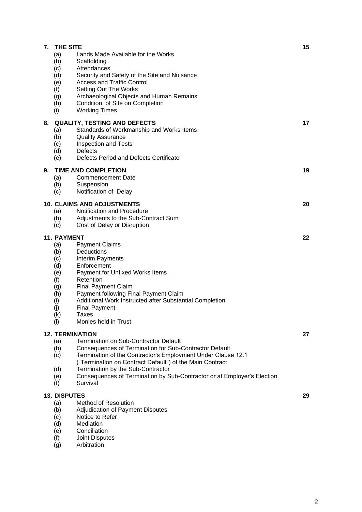| 7. | <b>THE SITE</b>           |                                                                                                                          | 15 |
|----|---------------------------|--------------------------------------------------------------------------------------------------------------------------|----|
|    | (a)<br>(b)<br>(c)         | Lands Made Available for the Works<br>Scaffolding<br>Attendances                                                         |    |
|    | (d)<br>(e)                | Security and Safety of the Site and Nuisance<br><b>Access and Traffic Control</b>                                        |    |
|    | (f)                       | Setting Out The Works                                                                                                    |    |
|    | (g)<br>(h)                | Archaeological Objects and Human Remains<br>Condition of Site on Completion                                              |    |
|    | (i)                       | <b>Working Times</b>                                                                                                     |    |
| 8. |                           | <b>QUALITY, TESTING AND DEFECTS</b>                                                                                      | 17 |
|    | (a)<br>(b)                | Standards of Workmanship and Works Items<br><b>Quality Assurance</b>                                                     |    |
|    | (c)                       | Inspection and Tests                                                                                                     |    |
|    | (d)<br>(e)                | Defects<br>Defects Period and Defects Certificate                                                                        |    |
| 9. |                           | <b>TIME AND COMPLETION</b>                                                                                               | 19 |
|    | (a)                       | <b>Commencement Date</b>                                                                                                 |    |
|    | (b)<br>(c)                | Suspension<br>Notification of Delay                                                                                      |    |
|    |                           | <b>10. CLAIMS AND ADJUSTMENTS</b>                                                                                        | 20 |
|    | (a)                       | Notification and Procedure                                                                                               |    |
|    | (b)<br>(c)                | Adjustments to the Sub-Contract Sum<br>Cost of Delay or Disruption                                                       |    |
|    |                           |                                                                                                                          |    |
|    | <b>11. PAYMENT</b><br>(a) | <b>Payment Claims</b>                                                                                                    | 22 |
|    | (b)                       | Deductions                                                                                                               |    |
|    | (c)<br>(d)                | Interim Payments<br>Enforcement                                                                                          |    |
|    | (e)                       | Payment for Unfixed Works Items                                                                                          |    |
|    | (f)<br>(g)                | Retention<br><b>Final Payment Claim</b>                                                                                  |    |
|    | (h)                       | Payment following Final Payment Claim                                                                                    |    |
|    | (i)<br>(j)                | Additional Work Instructed after Substantial Completion<br><b>Final Payment</b>                                          |    |
|    | (k)                       | Taxes<br>Monies held in Trust                                                                                            |    |
|    | (1)                       |                                                                                                                          |    |
|    | (a)                       | <b>12. TERMINATION</b><br><b>Termination on Sub-Contractor Default</b>                                                   | 27 |
|    | (b)                       | Consequences of Termination for Sub-Contractor Default                                                                   |    |
|    | (c)                       | Termination of the Contractor's Employment Under Clause 12.1<br>("Termination on Contract Default") of the Main Contract |    |
|    | (d)                       | Termination by the Sub-Contractor                                                                                        |    |
|    | (e)<br>(f)                | Consequences of Termination by Sub-Contractor or at Employer's Election<br>Survival                                      |    |
|    | <b>13. DISPUTES</b>       |                                                                                                                          | 29 |
|    | (a)                       | Method of Resolution                                                                                                     |    |
|    | (b)<br>(c)                | Adjudication of Payment Disputes<br>Notice to Refer                                                                      |    |
|    | (d)                       | Mediation                                                                                                                |    |
|    | (e)<br>(f)                | Conciliation<br>Joint Disputes                                                                                           |    |

(g) Arbitration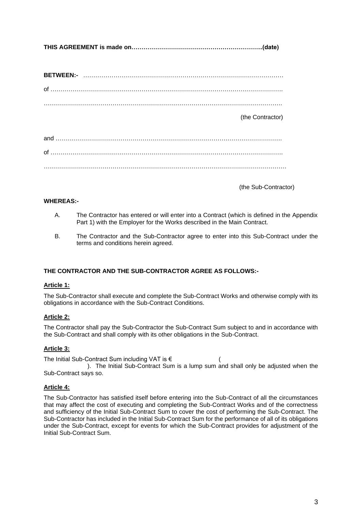**THIS AGREEMENT is made on………………………………………………………..(date)**

**BETWEEN:-** ……………………………………………………………………………………… of ……………………………………………………………………………………………………. ………………………………………………………………………………………………………. (the Contractor) and …………………………………………………………………………………………………. of ……………………………………………………………………………………………………. …………………………………………………………………………………………………………

(the Sub-Contractor)

#### **WHEREAS:-**

- A. The Contractor has entered or will enter into a Contract (which is defined in the Appendix Part 1) with the Employer for the Works described in the Main Contract.
- B. The Contractor and the Sub-Contractor agree to enter into this Sub-Contract under the terms and conditions herein agreed.

#### **THE CONTRACTOR AND THE SUB-CONTRACTOR AGREE AS FOLLOWS:-**

#### **Article 1:**

The Sub-Contractor shall execute and complete the Sub-Contract Works and otherwise comply with its obligations in accordance with the Sub-Contract Conditions.

#### **Article 2:**

The Contractor shall pay the Sub-Contractor the Sub-Contract Sum subject to and in accordance with the Sub-Contract and shall comply with its other obligations in the Sub-Contract.

#### **Article 3:**

The Initial Sub-Contract Sum including VAT is  $\epsilon$  ( ). The Initial Sub-Contract Sum is a lump sum and shall only be adjusted when the Sub-Contract says so.

#### **Article 4:**

The Sub-Contractor has satisfied itself before entering into the Sub-Contract of all the circumstances that may affect the cost of executing and completing the Sub-Contract Works and of the correctness and sufficiency of the Initial Sub-Contract Sum to cover the cost of performing the Sub-Contract. The Sub-Contractor has included in the Initial Sub-Contract Sum for the performance of all of its obligations under the Sub-Contract, except for events for which the Sub-Contract provides for adjustment of the Initial Sub-Contract Sum.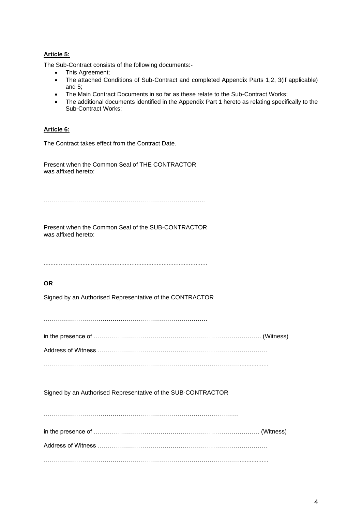## **Article 5:**

The Sub-Contract consists of the following documents:-

- This Agreement;
- The attached Conditions of Sub-Contract and completed Appendix Parts 1,2, 3(if applicable) and 5;
- The Main Contract Documents in so far as these relate to the Sub-Contract Works;
- The additional documents identified in the Appendix Part 1 hereto as relating specifically to the Sub-Contract Works;

#### **Article 6:**

The Contract takes effect from the Contract Date.

Present when the Common Seal of THE CONTRACTOR was affixed hereto:

……………………………………………………………………..

Present when the Common Seal of the SUB-CONTRACTOR was affixed hereto:

.................................................................................................

#### **OR**

Signed by an Authorised Representative of the CONTRACTOR

………………………………………………………………………

|--|--|

Address of Witness …………………………………………………………………………

……………………………………………………………………………………..................

Signed by an Authorised Representative of the SUB-CONTRACTOR

…………………………………………………………………………………… in the presence of ………………………………………………………………………. (Witness) Address of Witness ………………………………………………………………………… ……………………………………………………………………………………..................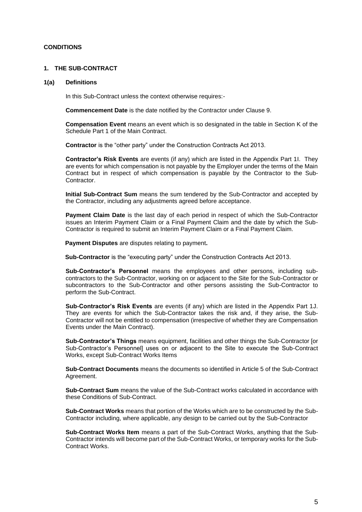#### **CONDITIONS**

#### **1. THE SUB-CONTRACT**

#### **1(a) Definitions**

In this Sub-Contract unless the context otherwise requires:-

**Commencement Date** is the date notified by the Contractor under Clause 9.

**Compensation Event** means an event which is so designated in the table in Section K of the Schedule Part 1 of the Main Contract.

**Contractor** is the "other party" under the Construction Contracts Act 2013.

**Contractor's Risk Events** are events (if any) which are listed in the Appendix Part 1I. They are events for which compensation is not payable by the Employer under the terms of the Main Contract but in respect of which compensation is payable by the Contractor to the Sub-Contractor.

**Initial Sub-Contract Sum** means the sum tendered by the Sub-Contractor and accepted by the Contractor, including any adjustments agreed before acceptance.

**Payment Claim Date** is the last day of each period in respect of which the Sub-Contractor issues an Interim Payment Claim or a Final Payment Claim and the date by which the Sub-Contractor is required to submit an Interim Payment Claim or a Final Payment Claim.

**Payment Disputes** are disputes relating to payment**.**

**Sub-Contractor** is the "executing party" under the Construction Contracts Act 2013.

**Sub-Contractor's Personnel** means the employees and other persons, including subcontractors to the Sub-Contractor, working on or adjacent to the Site for the Sub-Contractor or subcontractors to the Sub-Contractor and other persons assisting the Sub-Contractor to perform the Sub-Contract.

**Sub-Contractor's Risk Events** are events (if any) which are listed in the Appendix Part 1J. They are events for which the Sub-Contractor takes the risk and, if they arise, the Sub-Contractor will not be entitled to compensation (irrespective of whether they are Compensation Events under the Main Contract).

**Sub-Contractor's Things** means equipment, facilities and other things the Sub-Contractor [or Sub-Contractor's Personnel] uses on or adjacent to the Site to execute the Sub-Contract Works, except Sub-Contract Works Items

**Sub-Contract Documents** means the documents so identified in Article 5 of the Sub-Contract Agreement.

**Sub-Contract Sum** means the value of the Sub-Contract works calculated in accordance with these Conditions of Sub-Contract.

**Sub-Contract Works** means that portion of the Works which are to be constructed by the Sub-Contractor including, where applicable, any design to be carried out by the Sub-Contractor

**Sub-Contract Works Item** means a part of the Sub-Contract Works, anything that the Sub-Contractor intends will become part of the Sub-Contract Works, or temporary works for the Sub-Contract Works.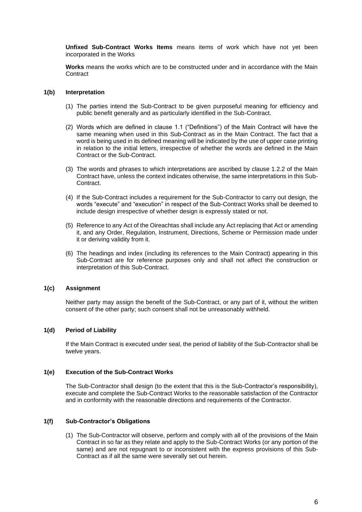**Unfixed Sub-Contract Works Items** means items of work which have not yet been incorporated in the Works

**Works** means the works which are to be constructed under and in accordance with the Main **Contract** 

#### **1(b) Interpretation**

- (1) The parties intend the Sub-Contract to be given purposeful meaning for efficiency and public benefit generally and as particularly identified in the Sub-Contract.
- (2) Words which are defined in clause 1.1 ("Definitions") of the Main Contract will have the same meaning when used in this Sub-Contract as in the Main Contract. The fact that a word is being used in its defined meaning will be indicated by the use of upper case printing in relation to the initial letters, irrespective of whether the words are defined in the Main Contract or the Sub-Contract.
- (3) The words and phrases to which interpretations are ascribed by clause 1.2.2 of the Main Contract have, unless the context indicates otherwise, the same interpretations in this Sub-Contract.
- (4) If the Sub-Contract includes a requirement for the Sub-Contractor to carry out design, the words "execute" and "execution" in respect of the Sub-Contract Works shall be deemed to include design irrespective of whether design is expressly stated or not.
- (5) Reference to any Act of the Oireachtas shall include any Act replacing that Act or amending it, and any Order, Regulation, Instrument, Directions, Scheme or Permission made under it or deriving validity from it.
- (6) The headings and index (including its references to the Main Contract) appearing in this Sub-Contract are for reference purposes only and shall not affect the construction or interpretation of this Sub-Contract.

#### **1(c) Assignment**

Neither party may assign the benefit of the Sub-Contract, or any part of it, without the written consent of the other party; such consent shall not be unreasonably withheld.

#### **1(d) Period of Liability**

If the Main Contract is executed under seal, the period of liability of the Sub-Contractor shall be twelve years.

#### **1(e) Execution of the Sub-Contract Works**

The Sub-Contractor shall design (to the extent that this is the Sub-Contractor's responsibility), execute and complete the Sub-Contract Works to the reasonable satisfaction of the Contractor and in conformity with the reasonable directions and requirements of the Contractor.

#### **1(f) Sub-Contractor's Obligations**

(1) The Sub-Contractor will observe, perform and comply with all of the provisions of the Main Contract in so far as they relate and apply to the Sub-Contract Works (or any portion of the same) and are not repugnant to or inconsistent with the express provisions of this Sub-Contract as if all the same were severally set out herein.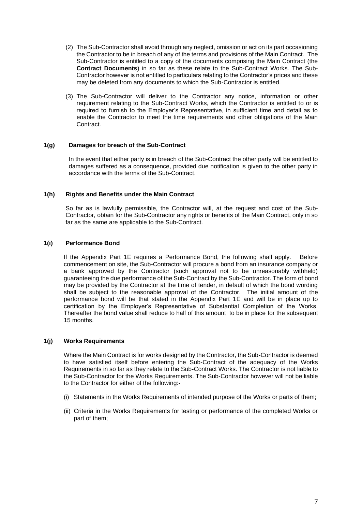- (2) The Sub-Contractor shall avoid through any neglect, omission or act on its part occasioning the Contractor to be in breach of any of the terms and provisions of the Main Contract. The Sub-Contractor is entitled to a copy of the documents comprising the Main Contract (the **Contract Documents**) in so far as these relate to the Sub-Contract Works. The Sub-Contractor however is not entitled to particulars relating to the Contractor's prices and these may be deleted from any documents to which the Sub-Contractor is entitled.
- (3) The Sub-Contractor will deliver to the Contractor any notice, information or other requirement relating to the Sub-Contract Works, which the Contractor is entitled to or is required to furnish to the Employer's Representative, in sufficient time and detail as to enable the Contractor to meet the time requirements and other obligations of the Main Contract.

#### **1(g) Damages for breach of the Sub-Contract**

In the event that either party is in breach of the Sub-Contract the other party will be entitled to damages suffered as a consequence, provided due notification is given to the other party in accordance with the terms of the Sub-Contract.

#### **1(h) Rights and Benefits under the Main Contract**

So far as is lawfully permissible, the Contractor will, at the request and cost of the Sub-Contractor, obtain for the Sub-Contractor any rights or benefits of the Main Contract, only in so far as the same are applicable to the Sub-Contract.

#### **1(i) Performance Bond**

If the Appendix Part 1E requires a Performance Bond, the following shall apply. Before commencement on site, the Sub-Contractor will procure a bond from an insurance company or a bank approved by the Contractor (such approval not to be unreasonably withheld) guaranteeing the due performance of the Sub-Contract by the Sub-Contractor. The form of bond may be provided by the Contractor at the time of tender, in default of which the bond wording shall be subject to the reasonable approval of the Contractor. The initial amount of the performance bond will be that stated in the Appendix Part 1E and will be in place up to certification by the Employer's Representative of Substantial Completion of the Works. Thereafter the bond value shall reduce to half of this amount to be in place for the subsequent 15 months.

#### **1(j) Works Requirements**

Where the Main Contract is for works designed by the Contractor, the Sub-Contractor is deemed to have satisfied itself before entering the Sub-Contract of the adequacy of the Works Requirements in so far as they relate to the Sub-Contract Works. The Contractor is not liable to the Sub-Contractor for the Works Requirements. The Sub-Contractor however will not be liable to the Contractor for either of the following:-

- (i) Statements in the Works Requirements of intended purpose of the Works or parts of them;
- (ii) Criteria in the Works Requirements for testing or performance of the completed Works or part of them;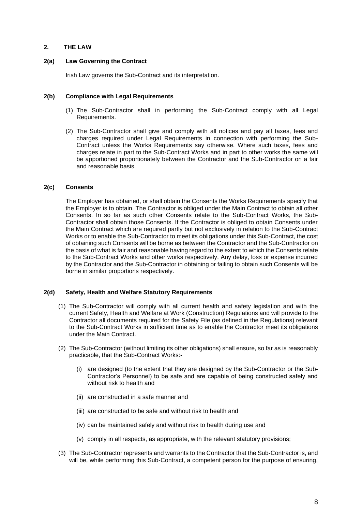#### **2. THE LAW**

#### **2(a) Law Governing the Contract**

Irish Law governs the Sub-Contract and its interpretation.

#### **2(b) Compliance with Legal Requirements**

- (1) The Sub-Contractor shall in performing the Sub-Contract comply with all Legal Requirements.
- (2) The Sub-Contractor shall give and comply with all notices and pay all taxes, fees and charges required under Legal Requirements in connection with performing the Sub-Contract unless the Works Requirements say otherwise. Where such taxes, fees and charges relate in part to the Sub-Contract Works and in part to other works the same will be apportioned proportionately between the Contractor and the Sub-Contractor on a fair and reasonable basis.

#### **2(c) Consents**

The Employer has obtained, or shall obtain the Consents the Works Requirements specify that the Employer is to obtain. The Contractor is obliged under the Main Contract to obtain all other Consents. In so far as such other Consents relate to the Sub-Contract Works, the Sub-Contractor shall obtain those Consents. If the Contractor is obliged to obtain Consents under the Main Contract which are required partly but not exclusively in relation to the Sub-Contract Works or to enable the Sub-Contractor to meet its obligations under this Sub-Contract, the cost of obtaining such Consents will be borne as between the Contractor and the Sub-Contractor on the basis of what is fair and reasonable having regard to the extent to which the Consents relate to the Sub-Contract Works and other works respectively. Any delay, loss or expense incurred by the Contractor and the Sub-Contractor in obtaining or failing to obtain such Consents will be borne in similar proportions respectively.

#### **2(d) Safety, Health and Welfare Statutory Requirements**

- (1) The Sub-Contractor will comply with all current health and safety legislation and with the current Safety, Health and Welfare at Work (Construction) Regulations and will provide to the Contractor all documents required for the Safety File (as defined in the Regulations) relevant to the Sub-Contract Works in sufficient time as to enable the Contractor meet its obligations under the Main Contract.
- (2) The Sub-Contractor (without limiting its other obligations) shall ensure, so far as is reasonably practicable, that the Sub-Contract Works:-
	- (i) are designed (to the extent that they are designed by the Sub-Contractor or the Sub-Contractor's Personnel) to be safe and are capable of being constructed safely and without risk to health and
	- (ii) are constructed in a safe manner and
	- (iii) are constructed to be safe and without risk to health and
	- (iv) can be maintained safely and without risk to health during use and
	- (v) comply in all respects, as appropriate, with the relevant statutory provisions;
- (3) The Sub-Contractor represents and warrants to the Contractor that the Sub-Contractor is, and will be, while performing this Sub-Contract, a competent person for the purpose of ensuring,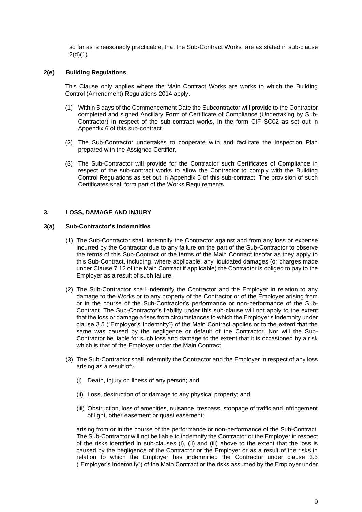so far as is reasonably practicable, that the Sub-Contract Works are as stated in sub-clause  $2(d)(1)$ .

#### **2(e) Building Regulations**

This Clause only applies where the Main Contract Works are works to which the Building Control (Amendment) Regulations 2014 apply.

- (1) Within 5 days of the Commencement Date the Subcontractor will provide to the Contractor completed and signed Ancillary Form of Certificate of Compliance (Undertaking by Sub-Contractor) in respect of the sub-contract works, in the form CIF SC02 as set out in Appendix 6 of this sub-contract
- (2) The Sub-Contractor undertakes to cooperate with and facilitate the Inspection Plan prepared with the Assigned Certifier.
- (3) The Sub-Contractor will provide for the Contractor such Certificates of Compliance in respect of the sub-contract works to allow the Contractor to comply with the Building Control Regulations as set out in Appendix 5 of this sub-contract. The provision of such Certificates shall form part of the Works Requirements.

#### **3. LOSS, DAMAGE AND INJURY**

#### **3(a) Sub-Contractor's Indemnities**

- (1) The Sub-Contractor shall indemnify the Contractor against and from any loss or expense incurred by the Contractor due to any failure on the part of the Sub-Contractor to observe the terms of this Sub-Contract or the terms of the Main Contract insofar as they apply to this Sub-Contract, including, where applicable, any liquidated damages (or charges made under Clause 7.12 of the Main Contract if applicable) the Contractor is obliged to pay to the Employer as a result of such failure.
- (2) The Sub-Contractor shall indemnify the Contractor and the Employer in relation to any damage to the Works or to any property of the Contractor or of the Employer arising from or in the course of the Sub-Contractor's performance or non-performance of the Sub-Contract. The Sub-Contractor's liability under this sub-clause will not apply to the extent that the loss or damage arises from circumstances to which the Employer's indemnity under clause 3.5 ("Employer's Indemnity") of the Main Contract applies or to the extent that the same was caused by the negligence or default of the Contractor. Nor will the Sub-Contractor be liable for such loss and damage to the extent that it is occasioned by a risk which is that of the Employer under the Main Contract.
- (3) The Sub-Contractor shall indemnify the Contractor and the Employer in respect of any loss arising as a result of:-
	- (i) Death, injury or illness of any person; and
	- (ii) Loss, destruction of or damage to any physical property; and
	- (iii) Obstruction, loss of amenities, nuisance, trespass, stoppage of traffic and infringement of light, other easement or quasi easement;

arising from or in the course of the performance or non-performance of the Sub-Contract. The Sub-Contractor will not be liable to indemnify the Contractor or the Employer in respect of the risks identified in sub-clauses (i), (ii) and (iii) above to the extent that the loss is caused by the negligence of the Contractor or the Employer or as a result of the risks in relation to which the Employer has indemnified the Contractor under clause 3.5 ("Employer's Indemnity") of the Main Contract or the risks assumed by the Employer under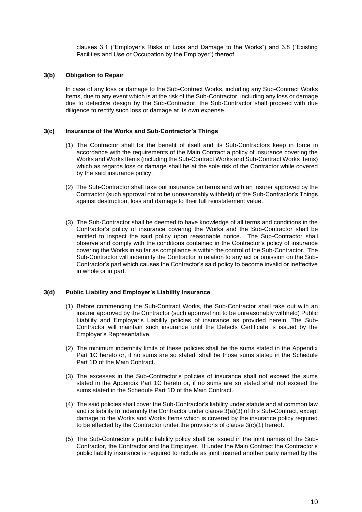clauses 3.1 ("Employer's Risks of Loss and Damage to the Works") and 3.8 ("Existing Facilities and Use or Occupation by the Employer") thereof.

#### **3(b) Obligation to Repair**

In case of any loss or damage to the Sub-Contract Works, including any Sub-Contract Works Items, due to any event which is at the risk of the Sub-Contractor, including any loss or damage due to defective design by the Sub-Contractor, the Sub-Contractor shall proceed with due diligence to rectify such loss or damage at its own expense.

#### **3(c) Insurance of the Works and Sub-Contractor's Things**

- (1) The Contractor shall for the benefit of itself and its Sub-Contractors keep in force in accordance with the requirements of the Main Contract a policy of insurance covering the Works and Works Items (including the Sub-Contract Works and Sub-Contract Works Items) which as regards loss or damage shall be at the sole risk of the Contractor while covered by the said insurance policy.
- (2) The Sub-Contractor shall take out insurance on terms and with an insurer approved by the Contractor (such approval not to be unreasonably withheld) of the Sub-Contractor's Things against destruction, loss and damage to their full reinstatement value.
- (3) The Sub-Contractor shall be deemed to have knowledge of all terms and conditions in the Contractor's policy of insurance covering the Works and the Sub-Contractor shall be entitled to inspect the said policy upon reasonable notice. The Sub-Contractor shall observe and comply with the conditions contained in the Contractor's policy of insurance covering the Works in so far as compliance is within the control of the Sub-Contractor. The Sub-Contractor will indemnify the Contractor in relation to any act or omission on the Sub-Contractor's part which causes the Contractor's said policy to become invalid or ineffective in whole or in part.

#### **3(d) Public Liability and Employer's Liability Insurance**

- (1) Before commencing the Sub-Contract Works, the Sub-Contractor shall take out with an insurer approved by the Contractor (such approval not to be unreasonably withheld) Public Liability and Employer's Liability policies of insurance as provided herein. The Sub-Contractor will maintain such insurance until the Defects Certificate is issued by the Employer's Representative.
- (2) The minimum indemnity limits of these policies shall be the sums stated in the Appendix Part 1C hereto or, if no sums are so stated, shall be those sums stated in the Schedule Part 1D of the Main Contract.
- (3) The excesses in the Sub-Contractor's policies of insurance shall not exceed the sums stated in the Appendix Part 1C hereto or, if no sums are so stated shall not exceed the sums stated in the Schedule Part 1D of the Main Contract.
- (4) The said policies shall cover the Sub-Contractor's liability under statute and at common law and its liability to indemnify the Contractor under clause 3(a)(3) of this Sub-Contract, except damage to the Works and Works Items which is covered by the insurance policy required to be effected by the Contractor under the provisions of clause 3(c)(1) hereof.
- (5) The Sub-Contractor's public liability policy shall be issued in the joint names of the Sub-Contractor, the Contractor and the Employer. If under the Main Contract the Contractor's public liability insurance is required to include as joint insured another party named by the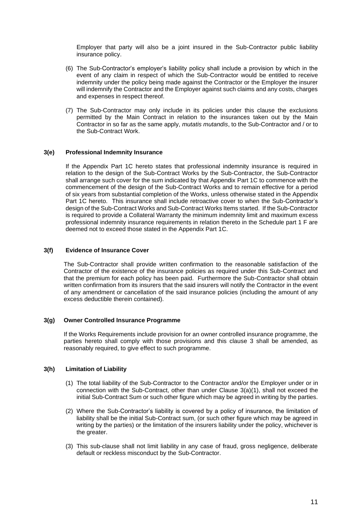Employer that party will also be a joint insured in the Sub-Contractor public liability insurance policy.

- (6) The Sub-Contractor's employer's liability policy shall include a provision by which in the event of any claim in respect of which the Sub-Contractor would be entitled to receive indemnity under the policy being made against the Contractor or the Employer the insurer will indemnify the Contractor and the Employer against such claims and any costs, charges and expenses in respect thereof.
- (7) The Sub-Contractor may only include in its policies under this clause the exclusions permitted by the Main Contract in relation to the insurances taken out by the Main Contractor in so far as the same apply, *mutatis mutandis*, to the Sub-Contractor and / or to the Sub-Contract Work.

#### **3(e) Professional Indemnity Insurance**

If the Appendix Part 1C hereto states that professional indemnity insurance is required in relation to the design of the Sub-Contract Works by the Sub-Contractor, the Sub-Contractor shall arrange such cover for the sum indicated by that Appendix Part 1C to commence with the commencement of the design of the Sub-Contract Works and to remain effective for a period of six years from substantial completion of the Works, unless otherwise stated in the Appendix Part 1C hereto. This insurance shall include retroactive cover to when the Sub-Contractor's design of the Sub-Contract Works and Sub-Contract Works Items started. If the Sub-Contractor is required to provide a Collateral Warranty the minimum indemnity limit and maximum excess professional indemnity insurance requirements in relation thereto in the Schedule part 1 F are deemed not to exceed those stated in the Appendix Part 1C.

#### **3(f) Evidence of Insurance Cover**

The Sub-Contractor shall provide written confirmation to the reasonable satisfaction of the Contractor of the existence of the insurance policies as required under this Sub-Contract and that the premium for each policy has been paid. Furthermore the Sub-Contractor shall obtain written confirmation from its insurers that the said insurers will notify the Contractor in the event of any amendment or cancellation of the said insurance policies (including the amount of any excess deductible therein contained).

#### **3(g) Owner Controlled Insurance Programme**

If the Works Requirements include provision for an owner controlled insurance programme, the parties hereto shall comply with those provisions and this clause 3 shall be amended, as reasonably required, to give effect to such programme.

#### **3(h) Limitation of Liability**

- (1) The total liability of the Sub-Contractor to the Contractor and/or the Employer under or in connection with the Sub-Contract, other than under Clause 3(a)(1), shall not exceed the initial Sub-Contract Sum or such other figure which may be agreed in writing by the parties.
- (2) Where the Sub-Contractor's liability is covered by a policy of insurance, the limitation of liability shall be the initial Sub-Contract sum, (or such other figure which may be agreed in writing by the parties) or the limitation of the insurers liability under the policy, whichever is the greater.
- (3) This sub-clause shall not limit liability in any case of fraud, gross negligence, deliberate default or reckless misconduct by the Sub-Contractor.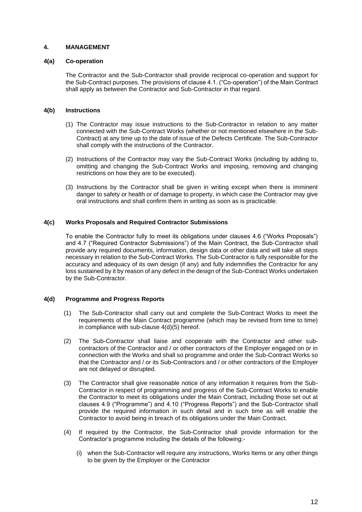#### **4. MANAGEMENT**

#### **4(a) Co-operation**

The Contractor and the Sub-Contractor shall provide reciprocal co-operation and support for the Sub-Contract purposes. The provisions of clause 4.1. ("Co-operation") of the Main Contract shall apply as between the Contractor and Sub-Contractor in that regard.

#### **4(b) Instructions**

- (1) The Contractor may issue instructions to the Sub-Contractor in relation to any matter connected with the Sub-Contract Works (whether or not mentioned elsewhere in the Sub-Contract) at any time up to the date of issue of the Defects Certificate. The Sub-Contractor shall comply with the instructions of the Contractor.
- (2) Instructions of the Contractor may vary the Sub-Contract Works (including by adding to, omitting and changing the Sub-Contract Works and imposing, removing and changing restrictions on how they are to be executed).
- (3) Instructions by the Contractor shall be given in writing except when there is imminent danger to safety or health or of damage to property, in which case the Contractor may give oral instructions and shall confirm them in writing as soon as is practicable.

#### **4(c) Works Proposals and Required Contractor Submissions**

To enable the Contractor fully to meet its obligations under clauses 4.6 ("Works Proposals") and 4.7 ("Required Contractor Submissions") of the Main Contract, the Sub-Contractor shall provide any required documents, information, design data or other data and will take all steps necessary in relation to the Sub-Contract Works*.* The Sub-Contractor is fully responsible for the accuracy and adequacy of its own design (if any) and fully indemnifies the Contractor for any loss sustained by it by reason of any defect in the design of the Sub-Contract Works undertaken by the Sub-Contractor.

#### **4(d) Programme and Progress Reports**

- (1) The Sub-Contractor shall carry out and complete the Sub-Contract Works to meet the requirements of the Main Contract programme (which may be revised from time to time) in compliance with sub-clause 4(d)(5) hereof.
- (2) The Sub-Contractor shall liaise and cooperate with the Contractor and other subcontractors of the Contractor and / or other contractors of the Employer engaged on or in connection with the Works and shall so programme and order the Sub-Contract Works so that the Contractor and / or its Sub-Contractors and / or other contractors of the Employer are not delayed or disrupted.
- (3) The Contractor shall give reasonable notice of any information it requires from the Sub-Contractor in respect of programming and progress of the Sub-Contract Works to enable the Contractor to meet its obligations under the Main Contract, including those set out at clauses 4.9 ("Programme") and 4.10 ("Progress Reports") and the Sub-Contractor shall provide the required information in such detail and in such time as will enable the Contractor to avoid being in breach of its obligations under the Main Contract.
- (4) If required by the Contractor, the Sub-Contractor shall provide information for the Contractor's programme including the details of the following:-
	- (i) when the Sub-Contractor will require any instructions, Works Items or any other things to be given by the Employer or the Contractor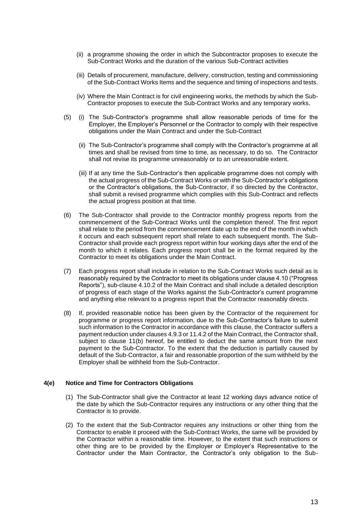- (ii) a programme showing the order in which the Subcontractor proposes to execute the Sub-Contract Works and the duration of the various Sub-Contract activities
- (iii) Details of procurement, manufacture, delivery, construction, testing and commissioning of the Sub-Contract Works Items and the sequence and timing of inspections and tests.
- (iv) Where the Main Contract is for civil engineering works, the methods by which the Sub-Contractor proposes to execute the Sub-Contract Works and any temporary works.
- (5) (i) The Sub-Contractor's programme shall allow reasonable periods of time for the Employer, the Employer's Personnel or the Contractor to comply with their respective obligations under the Main Contract and under the Sub-Contract
	- (ii) The Sub-Contractor's programme shall comply with the Contractor's programme at all times and shall be revised from time to time, as necessary, to do so. The Contractor shall not revise its programme unreasonably or to an unreasonable extent.
	- (iii) If at any time the Sub-Contractor's then applicable programme does not comply with the actual progress of the Sub-Contract Works or with the Sub-Contractor's obligations or the Contractor's obligations, the Sub-Contractor, if so directed by the Contractor, shall submit a revised programme which complies with this Sub-Contract and reflects the actual progress position at that time.
- (6) The Sub-Contractor shall provide to the Contractor monthly progress reports from the commencement of the Sub-Contract Works until the completion thereof. The first report shall relate to the period from the commencement date up to the end of the month in which it occurs and each subsequent report shall relate to each subsequent month. The Sub-Contractor shall provide each progress report within four working days after the end of the month to which it relates. Each progress report shall be in the format required by the Contractor to meet its obligations under the Main Contract.
- (7) Each progress report shall include in relation to the Sub-Contract Works such detail as is reasonably required by the Contractor to meet its obligations under clause 4.10 ("Progress Reports"), sub-clause 4.10.2 of the Main Contract and shall include a detailed description of progress of each stage of the Works against the Sub-Contractor's current programme and anything else relevant to a progress report that the Contractor reasonably directs.
- (8) If, provided reasonable notice has been given by the Contractor of the requirement for programme or progress report information, due to the Sub-Contractor's failure to submit such information to the Contractor in accordance with this clause, the Contractor suffers a payment reduction under clauses 4.9.3 or 11.4.2 of the Main Contract, the Contractor shall, subject to clause 11(b) hereof, be entitled to deduct the same amount from the next payment to the Sub-Contractor. To the extent that the deduction is partially caused by default of the Sub-Contractor, a fair and reasonable proportion of the sum withheld by the Employer shall be withheld from the Sub-Contractor.

#### **4(e) Notice and Time for Contractors Obligations**

- (1) The Sub-Contractor shall give the Contractor at least 12 working days advance notice of the date by which the Sub-Contractor requires any instructions or any other thing that the Contractor is to provide.
- (2) To the extent that the Sub-Contractor requires any instructions or other thing from the Contractor to enable it proceed with the Sub-Contract Works, the same will be provided by the Contractor within a reasonable time. However, to the extent that such instructions or other thing are to be provided by the Employer or Employer's Representative to the Contractor under the Main Contractor, the Contractor's only obligation to the Sub-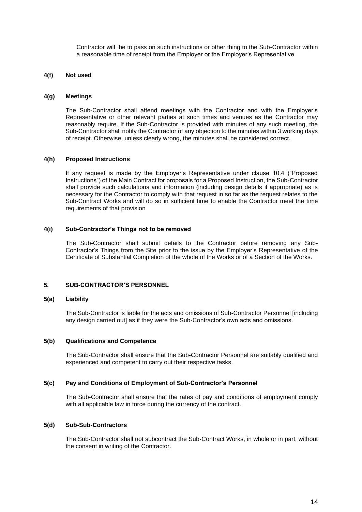Contractor will be to pass on such instructions or other thing to the Sub-Contractor within a reasonable time of receipt from the Employer or the Employer's Representative.

#### **4(f) Not used**

#### **4(g) Meetings**

The Sub-Contractor shall attend meetings with the Contractor and with the Employer's Representative or other relevant parties at such times and venues as the Contractor may reasonably require. If the Sub-Contractor is provided with minutes of any such meeting, the Sub-Contractor shall notify the Contractor of any objection to the minutes within 3 working days of receipt. Otherwise, unless clearly wrong, the minutes shall be considered correct.

#### **4(h) Proposed Instructions**

If any request is made by the Employer's Representative under clause 10.4 ("Proposed Instructions") of the Main Contract for proposals for a Proposed Instruction, the Sub-Contractor shall provide such calculations and information (including design details if appropriate) as is necessary for the Contractor to comply with that request in so far as the request relates to the Sub-Contract Works and will do so in sufficient time to enable the Contractor meet the time requirements of that provision

#### **4(i) Sub-Contractor's Things not to be removed**

The Sub-Contractor shall submit details to the Contractor before removing any Sub-Contractor's Things from the Site prior to the issue by the Employer's Representative of the Certificate of Substantial Completion of the whole of the Works or of a Section of the Works.

#### **5. SUB-CONTRACTOR'S PERSONNEL**

#### **5(a) Liability**

The Sub-Contractor is liable for the acts and omissions of Sub-Contractor Personnel [including any design carried out] as if they were the Sub-Contractor's own acts and omissions.

#### **5(b) Qualifications and Competence**

The Sub-Contractor shall ensure that the Sub-Contractor Personnel are suitably qualified and experienced and competent to carry out their respective tasks.

#### **5(c) Pay and Conditions of Employment of Sub-Contractor's Personnel**

The Sub-Contractor shall ensure that the rates of pay and conditions of employment comply with all applicable law in force during the currency of the contract.

#### **5(d) Sub-Sub-Contractors**

The Sub-Contractor shall not subcontract the Sub-Contract Works, in whole or in part, without the consent in writing of the Contractor.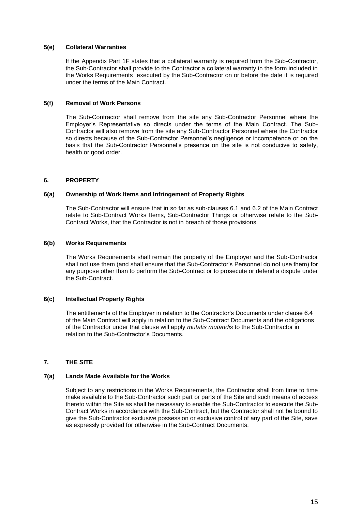#### **5(e) Collateral Warranties**

If the Appendix Part 1F states that a collateral warranty is required from the Sub-Contractor, the Sub-Contractor shall provide to the Contractor a collateral warranty in the form included in the Works Requirements executed by the Sub-Contractor on or before the date it is required under the terms of the Main Contract.

#### **5(f) Removal of Work Persons**

The Sub-Contractor shall remove from the site any Sub-Contractor Personnel where the Employer's Representative so directs under the terms of the Main Contract. The Sub-Contractor will also remove from the site any Sub-Contractor Personnel where the Contractor so directs because of the Sub-Contractor Personnel's negligence or incompetence or on the basis that the Sub-Contractor Personnel's presence on the site is not conducive to safety, health or good order.

#### **6. PROPERTY**

#### **6(a) Ownership of Work Items and Infringement of Property Rights**

The Sub-Contractor will ensure that in so far as sub-clauses 6.1 and 6.2 of the Main Contract relate to Sub-Contract Works Items, Sub-Contractor Things or otherwise relate to the Sub-Contract Works, that the Contractor is not in breach of those provisions.

#### **6(b) Works Requirements**

The Works Requirements shall remain the property of the Employer and the Sub-Contractor shall not use them (and shall ensure that the Sub-Contractor's Personnel do not use them) for any purpose other than to perform the Sub-Contract or to prosecute or defend a dispute under the Sub-Contract.

#### **6(c) Intellectual Property Rights**

The entitlements of the Employer in relation to the Contractor's Documents under clause 6.4 of the Main Contract will apply in relation to the Sub-Contract Documents and the obligations of the Contractor under that clause will apply *mutatis mutandis* to the Sub-Contractor in relation to the Sub-Contractor's Documents.

#### **7. THE SITE**

#### **7(a) Lands Made Available for the Works**

Subject to any restrictions in the Works Requirements, the Contractor shall from time to time make available to the Sub-Contractor such part or parts of the Site and such means of access thereto within the Site as shall be necessary to enable the Sub-Contractor to execute the Sub-Contract Works in accordance with the Sub-Contract, but the Contractor shall not be bound to give the Sub-Contractor exclusive possession or exclusive control of any part of the Site, save as expressly provided for otherwise in the Sub-Contract Documents.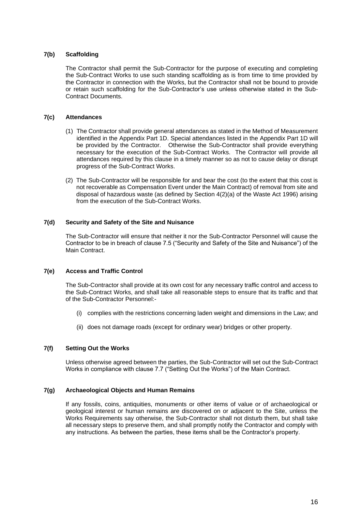#### **7(b) Scaffolding**

The Contractor shall permit the Sub-Contractor for the purpose of executing and completing the Sub-Contract Works to use such standing scaffolding as is from time to time provided by the Contractor in connection with the Works, but the Contractor shall not be bound to provide or retain such scaffolding for the Sub-Contractor's use unless otherwise stated in the Sub-Contract Documents.

#### **7(c) Attendances**

- (1) The Contractor shall provide general attendances as stated in the Method of Measurement identified in the Appendix Part 1D. Special attendances listed in the Appendix Part 1D will be provided by the Contractor. Otherwise the Sub-Contractor shall provide everything necessary for the execution of the Sub-Contract Works. The Contractor will provide all attendances required by this clause in a timely manner so as not to cause delay or disrupt progress of the Sub-Contract Works.
- (2) The Sub-Contractor will be responsible for and bear the cost (to the extent that this cost is not recoverable as Compensation Event under the Main Contract) of removal from site and disposal of hazardous waste (as defined by Section 4(2)(a) of the Waste Act 1996) arising from the execution of the Sub-Contract Works.

#### **7(d) Security and Safety of the Site and Nuisance**

The Sub-Contractor will ensure that neither it nor the Sub-Contractor Personnel will cause the Contractor to be in breach of clause 7.5 ("Security and Safety of the Site and Nuisance") of the Main Contract.

#### **7(e) Access and Traffic Control**

The Sub-Contractor shall provide at its own cost for any necessary traffic control and access to the Sub-Contract Works, and shall take all reasonable steps to ensure that its traffic and that of the Sub-Contractor Personnel:-

- (i) complies with the restrictions concerning laden weight and dimensions in the Law; and
- (ii) does not damage roads (except for ordinary wear) bridges or other property.

#### **7(f) Setting Out the Works**

Unless otherwise agreed between the parties, the Sub-Contractor will set out the Sub-Contract Works in compliance with clause 7.7 ("Setting Out the Works") of the Main Contract.

#### **7(g) Archaeological Objects and Human Remains**

If any fossils, coins, antiquities, monuments or other items of value or of archaeological or geological interest or human remains are discovered on or adjacent to the Site, unless the Works Requirements say otherwise, the Sub-Contractor shall not disturb them, but shall take all necessary steps to preserve them, and shall promptly notify the Contractor and comply with any instructions. As between the parties, these items shall be the Contractor's property.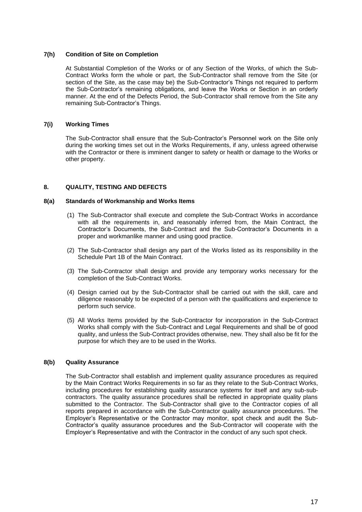#### **7(h) Condition of Site on Completion**

At Substantial Completion of the Works or of any Section of the Works, of which the Sub-Contract Works form the whole or part, the Sub-Contractor shall remove from the Site (or section of the Site, as the case may be) the Sub-Contractor's Things not required to perform the Sub-Contractor's remaining obligations, and leave the Works or Section in an orderly manner. At the end of the Defects Period, the Sub-Contractor shall remove from the Site any remaining Sub-Contractor's Things.

#### **7(i) Working Times**

The Sub-Contractor shall ensure that the Sub-Contractor's Personnel work on the Site only during the working times set out in the Works Requirements, if any, unless agreed otherwise with the Contractor or there is imminent danger to safety or health or damage to the Works or other property.

#### **8. QUALITY, TESTING AND DEFECTS**

#### **8(a) Standards of Workmanship and Works Items**

- (1) The Sub-Contractor shall execute and complete the Sub-Contract Works in accordance with all the requirements in, and reasonably inferred from, the Main Contract, the Contractor's Documents, the Sub-Contract and the Sub-Contractor's Documents in a proper and workmanlike manner and using good practice.
- (2) The Sub-Contractor shall design any part of the Works listed as its responsibility in the Schedule Part 1B of the Main Contract.
- (3) The Sub-Contractor shall design and provide any temporary works necessary for the completion of the Sub-Contract Works.
- (4) Design carried out by the Sub-Contractor shall be carried out with the skill, care and diligence reasonably to be expected of a person with the qualifications and experience to perform such service.
- (5) All Works Items provided by the Sub-Contractor for incorporation in the Sub-Contract Works shall comply with the Sub-Contract and Legal Requirements and shall be of good quality, and unless the Sub-Contract provides otherwise, new. They shall also be fit for the purpose for which they are to be used in the Works.

#### **8(b) Quality Assurance**

The Sub-Contractor shall establish and implement quality assurance procedures as required by the Main Contract Works Requirements in so far as they relate to the Sub-Contract Works, including procedures for establishing quality assurance systems for itself and any sub-subcontractors. The quality assurance procedures shall be reflected in appropriate quality plans submitted to the Contractor. The Sub-Contractor shall give to the Contractor copies of all reports prepared in accordance with the Sub-Contractor quality assurance procedures. The Employer's Representative or the Contractor may monitor, spot check and audit the Sub-Contractor's quality assurance procedures and the Sub-Contractor will cooperate with the Employer's Representative and with the Contractor in the conduct of any such spot check.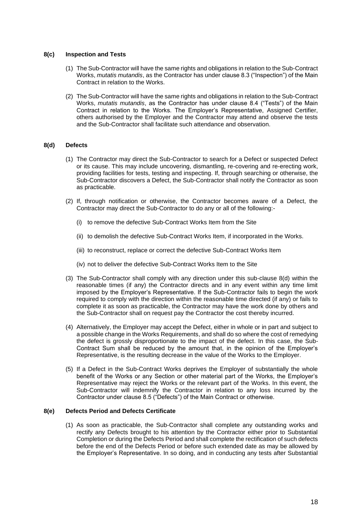#### **8(c) Inspection and Tests**

- (1) The Sub-Contractor will have the same rights and obligations in relation to the Sub-Contract Works, *mutatis mutandis*, as the Contractor has under clause 8.3 ("Inspection") of the Main Contract in relation to the Works.
- (2) The Sub-Contractor will have the same rights and obligations in relation to the Sub-Contract Works, *mutatis mutandis*, as the Contractor has under clause 8.4 ("Tests") of the Main Contract in relation to the Works. The Employer's Representative, Assigned Certifier, others authorised by the Employer and the Contractor may attend and observe the tests and the Sub-Contractor shall facilitate such attendance and observation.

#### **8(d) Defects**

- (1) The Contractor may direct the Sub-Contractor to search for a Defect or suspected Defect or its cause. This may include uncovering, dismantling, re-covering and re-erecting work, providing facilities for tests, testing and inspecting. If, through searching or otherwise, the Sub-Contractor discovers a Defect, the Sub-Contractor shall notify the Contractor as soon as practicable.
- (2) If, through notification or otherwise, the Contractor becomes aware of a Defect, the Contractor may direct the Sub-Contractor to do any or all of the following:-
	- (i) to remove the defective Sub-Contract Works Item from the Site
	- (ii) to demolish the defective Sub-Contract Works Item, if incorporated in the Works.
	- (iii) to reconstruct, replace or correct the defective Sub-Contract Works Item
	- (iv) not to deliver the defective Sub-Contract Works Item to the Site
- (3) The Sub-Contractor shall comply with any direction under this sub-clause 8(d) within the reasonable times (if any) the Contractor directs and in any event within any time limit imposed by the Employer's Representative. If the Sub-Contractor fails to begin the work required to comply with the direction within the reasonable time directed (if any) or fails to complete it as soon as practicable, the Contractor may have the work done by others and the Sub-Contractor shall on request pay the Contractor the cost thereby incurred.
- (4) Alternatively, the Employer may accept the Defect, either in whole or in part and subject to a possible change in the Works Requirements, and shall do so where the cost of remedying the defect is grossly disproportionate to the impact of the defect. In this case, the Sub-Contract Sum shall be reduced by the amount that, in the opinion of the Employer's Representative, is the resulting decrease in the value of the Works to the Employer.
- (5) If a Defect in the Sub-Contract Works deprives the Employer of substantially the whole benefit of the Works or any Section or other material part of the Works, the Employer's Representative may reject the Works or the relevant part of the Works. In this event, the Sub-Contractor will indemnify the Contractor in relation to any loss incurred by the Contractor under clause 8.5 ("Defects") of the Main Contract or otherwise.

#### **8(e) Defects Period and Defects Certificate**

(1) As soon as practicable, the Sub-Contractor shall complete any outstanding works and rectify any Defects brought to his attention by the Contractor either prior to Substantial Completion or during the Defects Period and shall complete the rectification of such defects before the end of the Defects Period or before such extended date as may be allowed by the Employer's Representative. In so doing, and in conducting any tests after Substantial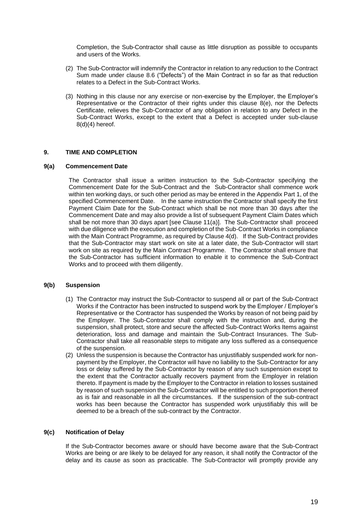Completion, the Sub-Contractor shall cause as little disruption as possible to occupants and users of the Works.

- (2) The Sub-Contractor will indemnify the Contractor in relation to any reduction to the Contract Sum made under clause 8.6 ("Defects") of the Main Contract in so far as that reduction relates to a Defect in the Sub-Contract Works.
- (3) Nothing in this clause nor any exercise or non-exercise by the Employer, the Employer's Representative or the Contractor of their rights under this clause 8(e), nor the Defects Certificate, relieves the Sub-Contractor of any obligation in relation to any Defect in the Sub-Contract Works, except to the extent that a Defect is accepted under sub-clause 8(d)(4) hereof.

#### **9. TIME AND COMPLETION**

#### **9(a) Commencement Date**

The Contractor shall issue a written instruction to the Sub-Contractor specifying the Commencement Date for the Sub-Contract and the Sub-Contractor shall commence work within ten working days, or such other period as may be entered in the Appendix Part 1, of the specified Commencement Date. In the same instruction the Contractor shall specify the first Payment Claim Date for the Sub-Contract which shall be not more than 30 days after the Commencement Date and may also provide a list of subsequent Payment Claim Dates which shall be not more than 30 days apart [see Clause 11(a)]. The Sub-Contractor shall proceed with due diligence with the execution and completion of the Sub-Contract Works in compliance with the Main Contract Programme, as required by Clause 4(d). If the Sub-Contract provides that the Sub-Contractor may start work on site at a later date, the Sub-Contractor will start work on site as required by the Main Contract Programme. The Contractor shall ensure that the Sub-Contractor has sufficient information to enable it to commence the Sub-Contract Works and to proceed with them diligently.

#### **9(b) Suspension**

- (1) The Contractor may instruct the Sub-Contractor to suspend all or part of the Sub-Contract Works if the Contractor has been instructed to suspend work by the Employer / Employer's Representative or the Contractor has suspended the Works by reason of not being paid by the Employer. The Sub-Contractor shall comply with the instruction and, during the suspension, shall protect, store and secure the affected Sub-Contract Works Items against deterioration, loss and damage and maintain the Sub-Contract Insurances. The Sub-Contractor shall take all reasonable steps to mitigate any loss suffered as a consequence of the suspension.
- (2) Unless the suspension is because the Contractor has unjustifiably suspended work for nonpayment by the Employer, the Contractor will have no liability to the Sub-Contractor for any loss or delay suffered by the Sub-Contractor by reason of any such suspension except to the extent that the Contractor actually recovers payment from the Employer in relation thereto. If payment is made by the Employer to the Contractor in relation to losses sustained by reason of such suspension the Sub-Contractor will be entitled to such proportion thereof as is fair and reasonable in all the circumstances. If the suspension of the sub-contract works has been because the Contractor has suspended work unjustifiably this will be deemed to be a breach of the sub-contract by the Contractor.

#### **9(c) Notification of Delay**

If the Sub-Contractor becomes aware or should have become aware that the Sub-Contract Works are being or are likely to be delayed for any reason, it shall notify the Contractor of the delay and its cause as soon as practicable. The Sub-Contractor will promptly provide any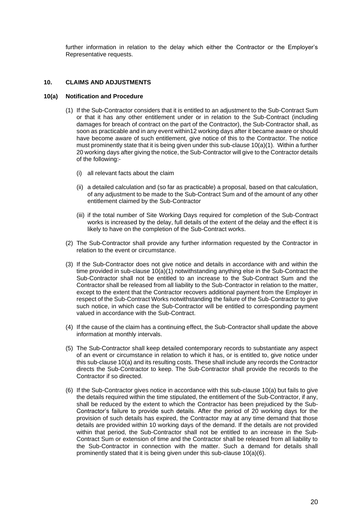further information in relation to the delay which either the Contractor or the Employer's Representative requests.

#### **10. CLAIMS AND ADJUSTMENTS**

#### **10(a) Notification and Procedure**

- (1) If the Sub-Contractor considers that it is entitled to an adjustment to the Sub-Contract Sum or that it has any other entitlement under or in relation to the Sub-Contract (including damages for breach of contract on the part of the Contractor), the Sub-Contractor shall, as soon as practicable and in any event within12 working days after it became aware or should have become aware of such entitlement, give notice of this to the Contractor. The notice must prominently state that it is being given under this sub-clause 10(a)(1). Within a further 20 working days after giving the notice, the Sub-Contractor will give to the Contractor details of the following:-
	- (i) all relevant facts about the claim
	- (ii) a detailed calculation and (so far as practicable) a proposal, based on that calculation, of any adjustment to be made to the Sub-Contract Sum and of the amount of any other entitlement claimed by the Sub-Contractor
	- (iii) if the total number of Site Working Days required for completion of the Sub-Contract works is increased by the delay, full details of the extent of the delay and the effect it is likely to have on the completion of the Sub-Contract works.
- (2) The Sub-Contractor shall provide any further information requested by the Contractor in relation to the event or circumstance.
- (3) If the Sub-Contractor does not give notice and details in accordance with and within the time provided in sub-clause 10(a)(1) notwithstanding anything else in the Sub-Contract the Sub-Contractor shall not be entitled to an increase to the Sub-Contract Sum and the Contractor shall be released from all liability to the Sub-Contractor in relation to the matter, except to the extent that the Contractor recovers additional payment from the Employer in respect of the Sub-Contract Works notwithstanding the failure of the Sub-Contractor to give such notice, in which case the Sub-Contractor will be entitled to corresponding payment valued in accordance with the Sub-Contract.
- (4) If the cause of the claim has a continuing effect, the Sub-Contractor shall update the above information at monthly intervals.
- (5) The Sub-Contractor shall keep detailed contemporary records to substantiate any aspect of an event or circumstance in relation to which it has, or is entitled to, give notice under this sub-clause 10(a) and its resulting costs. These shall include any records the Contractor directs the Sub-Contractor to keep. The Sub-Contractor shall provide the records to the Contractor if so directed.
- (6) If the Sub-Contractor gives notice in accordance with this sub-clause 10(a) but fails to give the details required within the time stipulated, the entitlement of the Sub-Contractor, if any, shall be reduced by the extent to which the Contractor has been prejudiced by the Sub-Contractor's failure to provide such details. After the period of 20 working days for the provision of such details has expired, the Contractor may at any time demand that those details are provided within 10 working days of the demand. If the details are not provided within that period, the Sub-Contractor shall not be entitled to an increase in the Sub-Contract Sum or extension of time and the Contractor shall be released from all liability to the Sub-Contractor in connection with the matter. Such a demand for details shall prominently stated that it is being given under this sub-clause 10(a)(6).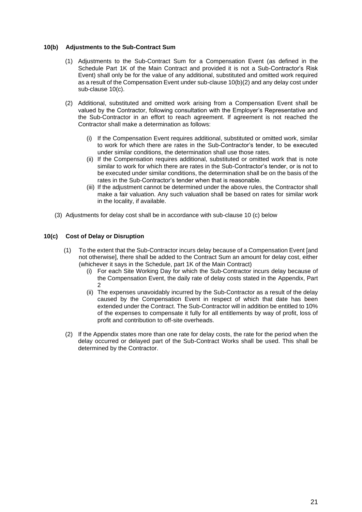#### **10(b) Adjustments to the Sub-Contract Sum**

- (1) Adjustments to the Sub-Contract Sum for a Compensation Event (as defined in the Schedule Part 1K of the Main Contract and provided it is not a Sub-Contractor's Risk Event) shall only be for the value of any additional, substituted and omitted work required as a result of the Compensation Event under sub-clause 10(b)(2) and any delay cost under sub-clause 10(c).
- (2) Additional, substituted and omitted work arising from a Compensation Event shall be valued by the Contractor, following consultation with the Employer's Representative and the Sub-Contractor in an effort to reach agreement. If agreement is not reached the Contractor shall make a determination as follows:
	- (i) If the Compensation Event requires additional, substituted or omitted work, similar to work for which there are rates in the Sub-Contractor's tender, to be executed under similar conditions, the determination shall use those rates.
	- (ii) If the Compensation requires additional, substituted or omitted work that is note similar to work for which there are rates in the Sub-Contractor's tender, or is not to be executed under similar conditions, the determination shall be on the basis of the rates in the Sub-Contractor's tender when that is reasonable.
	- (iii) If the adjustment cannot be determined under the above rules, the Contractor shall make a fair valuation. Any such valuation shall be based on rates for similar work in the locality, if available.
- (3) Adjustments for delay cost shall be in accordance with sub-clause 10 (c) below

#### **10(c) Cost of Delay or Disruption**

- (1) To the extent that the Sub-Contractor incurs delay because of a Compensation Event [and not otherwise], there shall be added to the Contract Sum an amount for delay cost, either (whichever it says in the Schedule, part 1K of the Main Contract)
	- (i) For each Site Working Day for which the Sub-Contractor incurs delay because of the Compensation Event, the daily rate of delay costs stated in the Appendix, Part  $\mathcal{D}$
	- (ii) The expenses unavoidably incurred by the Sub-Contractor as a result of the delay caused by the Compensation Event in respect of which that date has been extended under the Contract. The Sub-Contractor will in addition be entitled to 10% of the expenses to compensate it fully for all entitlements by way of profit, loss of profit and contribution to off-site overheads.
- (2) If the Appendix states more than one rate for delay costs, the rate for the period when the delay occurred or delayed part of the Sub-Contract Works shall be used. This shall be determined by the Contractor.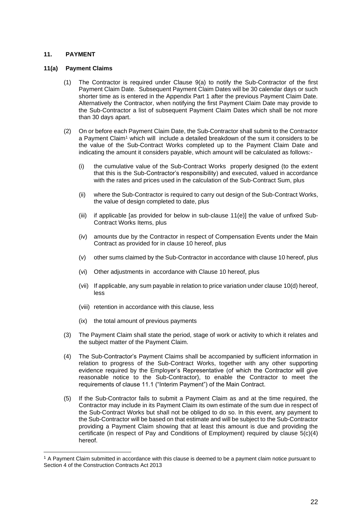#### **11. PAYMENT**

#### **11(a) Payment Claims**

- (1) The Contractor is required under Clause 9(a) to notify the Sub-Contractor of the first Payment Claim Date. Subsequent Payment Claim Dates will be 30 calendar days or such shorter time as is entered in the Appendix Part 1 after the previous Payment Claim Date. Alternatively the Contractor, when notifying the first Payment Claim Date may provide to the Sub-Contractor a list of subsequent Payment Claim Dates which shall be not more than 30 days apart.
- (2) On or before each Payment Claim Date, the Sub-Contractor shall submit to the Contractor a Payment Claim<sup>1</sup> which will include a detailed breakdown of the sum it considers to be the value of the Sub-Contract Works completed up to the Payment Claim Date and indicating the amount it considers payable, which amount will be calculated as follows:-
	- (i) the cumulative value of the Sub-Contract Works properly designed (to the extent that this is the Sub-Contractor's responsibility) and executed, valued in accordance with the rates and prices used in the calculation of the Sub-Contract Sum, plus
	- (ii) where the Sub-Contractor is required to carry out design of the Sub-Contract Works, the value of design completed to date, plus
	- (iii) if applicable [as provided for below in sub-clause 11(e)] the value of unfixed Sub-Contract Works Items, plus
	- (iv) amounts due by the Contractor in respect of Compensation Events under the Main Contract as provided for in clause 10 hereof, plus
	- (v) other sums claimed by the Sub-Contractor in accordance with clause 10 hereof, plus
	- (vi) Other adjustments in accordance with Clause 10 hereof, plus
	- (vii) If applicable, any sum payable in relation to price variation under clause 10(d) hereof, less
	- (viii) retention in accordance with this clause, less
	- (ix) the total amount of previous payments
- (3) The Payment Claim shall state the period, stage of work or activity to which it relates and the subject matter of the Payment Claim.
- (4) The Sub-Contractor's Payment Claims shall be accompanied by sufficient information in relation to progress of the Sub-Contract Works, together with any other supporting evidence required by the Employer's Representative (of which the Contractor will give reasonable notice to the Sub-Contractor), to enable the Contractor to meet the requirements of clause 11.1 ("Interim Payment") of the Main Contract.
- (5) If the Sub-Contractor fails to submit a Payment Claim as and at the time required, the Contractor may include in its Payment Claim its own estimate of the sum due in respect of the Sub-Contract Works but shall not be obliged to do so. In this event, any payment to the Sub-Contractor will be based on that estimate and will be subject to the Sub-Contractor providing a Payment Claim showing that at least this amount is due and providing the certificate (in respect of Pay and Conditions of Employment) required by clause 5(c)(4) hereof.

<sup>&</sup>lt;sup>1</sup> A Payment Claim submitted in accordance with this clause is deemed to be a payment claim notice pursuant to Section 4 of the Construction Contracts Act 2013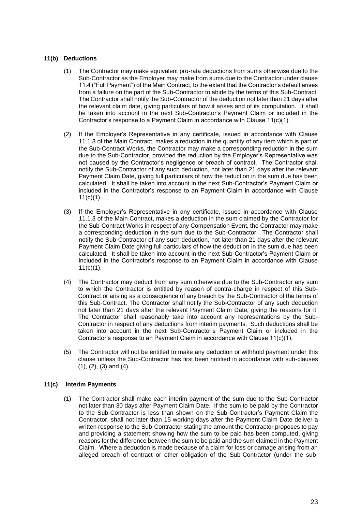#### **11(b) Deductions**

- (1) The Contractor may make equivalent pro-rata deductions from sums otherwise due to the Sub-Contractor as the Employer may make from sums due to the Contractor under clause 11.4 ("Full Payment") of the Main Contract, to the extent that the Contractor's default arises from a failure on the part of the Sub-Contractor to abide by the terms of this Sub-Contract. The Contractor shall notify the Sub-Contractor of the deduction not later than 21 days after the relevant claim date, giving particulars of how it arises and of its computation. It shall be taken into account in the next Sub-Contractor's Payment Claim or included in the Contractor's response to a Payment Claim in accordance with Clause 11(c)(1).
- (2) If the Employer's Representative in any certificate, issued in accordance with Clause 11.1.3 of the Main Contract, makes a reduction in the quantity of any item which is part of the Sub-Contract Works, the Contractor may make a corresponding reduction in the sum due to the Sub-Contractor, provided the reduction by the Employer's Representative was not caused by the Contractor's negligence or breach of contract. The Contractor shall notify the Sub-Contractor of any such deduction, not later than 21 days after the relevant Payment Claim Date, giving full particulars of how the reduction in the sum due has been calculated. It shall be taken into account in the next Sub-Contractor's Payment Claim or included in the Contractor's response to an Payment Claim in accordance with Clause  $11(c)(1)$ .
- (3) If the Employer's Representative in any certificate, issued in accordance with Clause 11.1.3 of the Main Contract, makes a deduction in the sum claimed by the Contractor for the Sub-Contract Works in respect of any Compensation Event, the Contractor may make a corresponding deduction in the sum due to the Sub-Contractor. The Contractor shall notify the Sub-Contractor of any such deduction, not later than 21 days after the relevant Payment Claim Date giving full particulars of how the deduction in the sum due has been calculated. It shall be taken into account in the next Sub-Contractor's Payment Claim or included in the Contractor's response to an Payment Claim in accordance with Clause  $11(c)(1)$ .
- (4) The Contractor may deduct from any sum otherwise due to the Sub-Contractor any sum to which the Contractor is entitled by reason of contra-charge in respect of this Sub-Contract or arising as a consequence of any breach by the Sub-Contractor of the terms of this Sub-Contract. The Contractor shall notify the Sub-Contractor of any such deduction not later than 21 days after the relevant Payment Claim Date, giving the reasons for it. The Contractor shall reasonably take into account any representations by the Sub-Contractor in respect of any deductions from interim payments. Such deductions shall be taken into account in the next Sub-Contractor's Payment Claim or included in the Contractor's response to an Payment Claim in accordance with Clause 11(c)(1).
- (5) The Contractor will not be entitled to make any deduction or withhold payment under this clause unless the Sub-Contractor has first been notified in accordance with sub-clauses (1), (2), (3) and (4).

#### **11(c) Interim Payments**

(1) The Contractor shall make each interim payment of the sum due to the Sub-Contractor not later than 30 days after Payment Claim Date. If the sum to be paid by the Contractor to the Sub-Contractor is less than shown on the Sub-Contractor's Payment Claim the Contractor, shall not later than 15 working days after the Payment Claim Date deliver a written response to the Sub-Contractor stating the amount the Contractor proposes to pay and providing a statement showing how the sum to be paid has been computed, giving reasons for the difference between the sum to be paid and the sum claimed in the Payment Claim. Where a deduction is made because of a claim for loss or damage arising from an alleged breach of contract or other obligation of the Sub-Contractor (under the sub-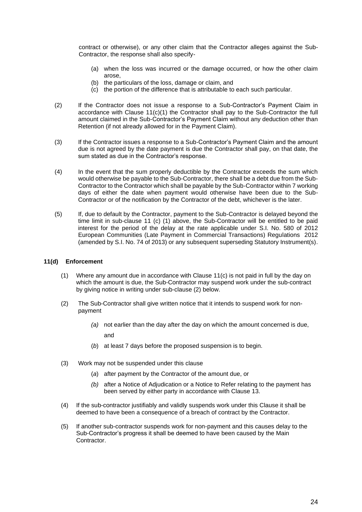contract or otherwise), or any other claim that the Contractor alleges against the Sub-Contractor, the response shall also specify-

- (a) when the loss was incurred or the damage occurred, or how the other claim arose,
- (b) the particulars of the loss, damage or claim, and
- (c) the portion of the difference that is attributable to each such particular.
- (2) If the Contractor does not issue a response to a Sub-Contractor's Payment Claim in accordance with Clause 11(c)(1) the Contractor shall pay to the Sub-Contractor the full amount claimed in the Sub-Contractor's Payment Claim without any deduction other than Retention (if not already allowed for in the Payment Claim).
- (3) If the Contractor issues a response to a Sub-Contractor's Payment Claim and the amount due is not agreed by the date payment is due the Contractor shall pay, on that date, the sum stated as due in the Contractor's response.
- (4) In the event that the sum properly deductible by the Contractor exceeds the sum which would otherwise be payable to the Sub-Contractor, there shall be a debt due from the Sub-Contractor to the Contractor which shall be payable by the Sub-Contractor within 7 working days of either the date when payment would otherwise have been due to the Sub-Contractor or of the notification by the Contractor of the debt, whichever is the later.
- (5) If, due to default by the Contractor, payment to the Sub-Contractor is delayed beyond the time limit in sub-clause 11 (c) (1) above, the Sub-Contractor will be entitled to be paid interest for the period of the delay at the rate applicable under S.I. No. 580 of 2012 European Communities (Late Payment in Commercial Transactions) Regulations 2012 (amended by S.I. No. 74 of 2013) or any subsequent superseding Statutory Instrument(s).

#### **11(d) Enforcement**

- (1) Where any amount due in accordance with Clause 11(c) is not paid in full by the day on which the amount is due, the Sub-Contractor may suspend work under the sub-contract by giving notice in writing under sub-clause (2) below.
- (2) The Sub-Contractor shall give written notice that it intends to suspend work for nonpayment
	- *(a)* not earlier than the day after the day on which the amount concerned is due, and
	- (*b*) at least 7 days before the proposed suspension is to begin.
- (3) Work may not be suspended under this clause
	- (*a*) after payment by the Contractor of the amount due, or
	- *(b)* after a Notice of Adjudication or a Notice to Refer relating to the payment has been served by either party in accordance with Clause 13.
- (4) If the sub-contractor justifiably and validly suspends work under this Clause it shall be deemed to have been a consequence of a breach of contract by the Contractor.
- (5) If another sub-contractor suspends work for non-payment and this causes delay to the Sub-Contractor's progress it shall be deemed to have been caused by the Main Contractor.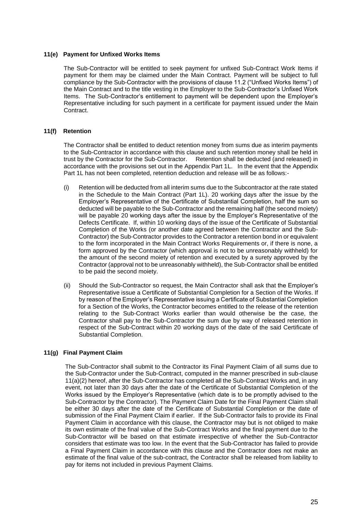#### **11(e) Payment for Unfixed Works Items**

The Sub-Contractor will be entitled to seek payment for unfixed Sub-Contract Work Items if payment for them may be claimed under the Main Contract. Payment will be subject to full compliance by the Sub-Contractor with the provisions of clause 11.2 ("Unfixed Works Items") of the Main Contract and to the title vesting in the Employer to the Sub-Contractor's Unfixed Work Items. The Sub-Contractor's entitlement to payment will be dependent upon the Employer's Representative including for such payment in a certificate for payment issued under the Main Contract.

#### **11(f) Retention**

The Contractor shall be entitled to deduct retention money from sums due as interim payments to the Sub-Contractor in accordance with this clause and such retention money shall be held in trust by the Contractor for the Sub-Contractor. Retention shall be deducted (and released) in accordance with the provisions set out in the Appendix Part 1L. In the event that the Appendix Part 1L has not been completed, retention deduction and release will be as follows:-

- (i) Retention will be deducted from all interim sums due to the Subcontractor at the rate stated in the Schedule to the Main Contract (Part 1L). 20 working days after the issue by the Employer's Representative of the Certificate of Substantial Completion, half the sum so deducted will be payable to the Sub-Contractor and the remaining half (the second moiety) will be payable 20 working days after the issue by the Employer's Representative of the Defects Certificate. If, within 10 working days of the issue of the Certificate of Substantial Completion of the Works (or another date agreed between the Contractor and the Sub-Contractor) the Sub-Contractor provides to the Contractor a retention bond in or equivalent to the form incorporated in the Main Contract Works Requirements or, if there is none, a form approved by the Contractor (which approval is not to be unreasonably withheld) for the amount of the second moiety of retention and executed by a surety approved by the Contractor (approval not to be unreasonably withheld), the Sub-Contractor shall be entitled to be paid the second moiety.
- (ii) Should the Sub-Contractor so request, the Main Contractor shall ask that the Employer's Representative issue a Certificate of Substantial Completion for a Section of the Works. If by reason of the Employer's Representative issuing a Certificate of Substantial Completion for a Section of the Works, the Contractor becomes entitled to the release of the retention relating to the Sub-Contract Works earlier than would otherwise be the case, the Contractor shall pay to the Sub-Contractor the sum due by way of released retention in respect of the Sub-Contract within 20 working days of the date of the said Certificate of Substantial Completion.

#### **11(g) Final Payment Claim**

The Sub-Contractor shall submit to the Contractor its Final Payment Claim of all sums due to the Sub-Contractor under the Sub-Contract, computed in the manner prescribed in sub-clause 11(a)(2) hereof, after the Sub-Contractor has completed all the Sub-Contract Works and, in any event, not later than 30 days after the date of the Certificate of Substantial Completion of the Works issued by the Employer's Representative (which date is to be promptly advised to the Sub-Contractor by the Contractor). The Payment Claim Date for the Final Payment Claim shall be either 30 days after the date of the Certificate of Substantial Completion or the date of submission of the Final Payment Claim if earlier. If the Sub-Contractor fails to provide its Final Payment Claim in accordance with this clause, the Contractor may but is not obliged to make its own estimate of the final value of the Sub-Contract Works and the final payment due to the Sub-Contractor will be based on that estimate irrespective of whether the Sub-Contractor considers that estimate was too low. In the event that the Sub-Contractor has failed to provide a Final Payment Claim in accordance with this clause and the Contractor does not make an estimate of the final value of the sub-contract, the Contractor shall be released from liability to pay for items not included in previous Payment Claims.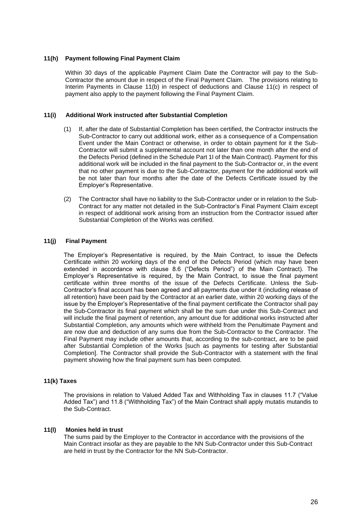#### **11(h) Payment following Final Payment Claim**

Within 30 days of the applicable Payment Claim Date the Contractor will pay to the Sub-Contractor the amount due in respect of the Final Payment Claim. The provisions relating to Interim Payments in Clause 11(b) in respect of deductions and Clause 11(c) in respect of payment also apply to the payment following the Final Payment Claim.

#### **11(i) Additional Work instructed after Substantial Completion**

- (1) If, after the date of Substantial Completion has been certified, the Contractor instructs the Sub-Contractor to carry out additional work, either as a consequence of a Compensation Event under the Main Contract or otherwise, in order to obtain payment for it the Sub-Contractor will submit a supplemental account not later than one month after the end of the Defects Period (defined in the Schedule Part 1I of the Main Contract). Payment for this additional work will be included in the final payment to the Sub-Contractor or, in the event that no other payment is due to the Sub-Contractor, payment for the additional work will be not later than four months after the date of the Defects Certificate issued by the Employer's Representative.
- (2) The Contractor shall have no liability to the Sub-Contractor under or in relation to the Sub-Contract for any matter not detailed in the Sub-Contractor's Final Payment Claim except in respect of additional work arising from an instruction from the Contractor issued after Substantial Completion of the Works was certified.

#### **11(j) Final Payment**

The Employer's Representative is required, by the Main Contract, to issue the Defects Certificate within 20 working days of the end of the Defects Period (which may have been extended in accordance with clause 8.6 ("Defects Period") of the Main Contract). The Employer's Representative is required, by the Main Contract, to issue the final payment certificate within three months of the issue of the Defects Certificate. Unless the Sub-Contractor's final account has been agreed and all payments due under it (including release of all retention) have been paid by the Contractor at an earlier date, within 20 working days of the issue by the Employer's Representative of the final payment certificate the Contractor shall pay the Sub-Contractor its final payment which shall be the sum due under this Sub-Contract and will include the final payment of retention, any amount due for additional works instructed after Substantial Completion, any amounts which were withheld from the Penultimate Payment and are now due and deduction of any sums due from the Sub-Contractor to the Contractor. The Final Payment may include other amounts that, according to the sub-contract, are to be paid after Substantial Completion of the Works [such as payments for testing after Substantial Completion]. The Contractor shall provide the Sub-Contractor with a statement with the final payment showing how the final payment sum has been computed.

#### **11(k) Taxes**

The provisions in relation to Valued Added Tax and Withholding Tax in clauses 11.7 ("Value Added Tax") and 11.8 ("Withholding Tax") of the Main Contract shall apply mutatis mutandis to the Sub-Contract.

#### **11(l) Monies held in trust**

The sums paid by the Employer to the Contractor in accordance with the provisions of the Main Contract insofar as they are payable to the NN Sub-Contractor under this Sub-Contract are held in trust by the Contractor for the NN Sub-Contractor.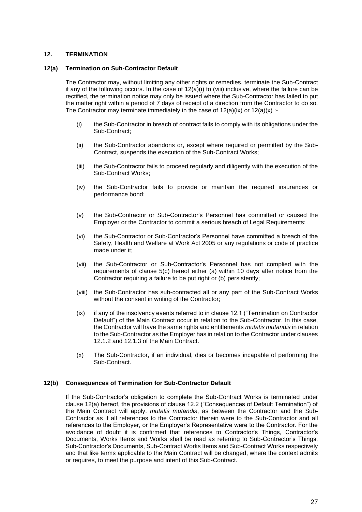### **12. TERMINATION**

#### **12(a) Termination on Sub-Contractor Default**

The Contractor may, without limiting any other rights or remedies, terminate the Sub-Contract if any of the following occurs. In the case of  $12(a)(i)$  to (viii) inclusive, where the failure can be rectified, the termination notice may only be issued where the Sub-Contractor has failed to put the matter right within a period of 7 days of receipt of a direction from the Contractor to do so. The Contractor may terminate immediately in the case of  $12(a)(ix)$  or  $12(a)(x)$  :-

- (i) the Sub-Contractor in breach of contract fails to comply with its obligations under the Sub-Contract;
- (ii) the Sub-Contractor abandons or, except where required or permitted by the Sub-Contract, suspends the execution of the Sub-Contract Works;
- (iii) the Sub-Contractor fails to proceed regularly and diligently with the execution of the Sub-Contract Works;
- (iv) the Sub-Contractor fails to provide or maintain the required insurances or performance bond;
- (v) the Sub-Contractor or Sub-Contractor's Personnel has committed or caused the Employer or the Contractor to commit a serious breach of Legal Requirements;
- (vi) the Sub-Contractor or Sub-Contractor's Personnel have committed a breach of the Safety, Health and Welfare at Work Act 2005 or any regulations or code of practice made under it;
- (vii) the Sub-Contractor or Sub-Contractor's Personnel has not complied with the requirements of clause 5(c) hereof either (a) within 10 days after notice from the Contractor requiring a failure to be put right or (b) persistently;
- (viii) the Sub-Contractor has sub-contracted all or any part of the Sub-Contract Works without the consent in writing of the Contractor;
- (ix) if any of the insolvency events referred to in clause 12.1 ("Termination on Contractor Default") of the Main Contract occur in relation to the Sub-Contractor. In this case, the Contractor will have the same rights and entitlements *mutatis mutandis* in relation to the Sub-Contractor as the Employer has in relation to the Contractor under clauses 12.1.2 and 12.1.3 of the Main Contract.
- (x) The Sub-Contractor, if an individual, dies or becomes incapable of performing the Sub-Contract.

#### **12(b) Consequences of Termination for Sub-Contractor Default**

If the Sub-Contractor's obligation to complete the Sub-Contract Works is terminated under clause 12(a) hereof, the provisions of clause 12.2 ("Consequences of Default Termination") of the Main Contract will apply, *mutatis mutandis*, as between the Contractor and the Sub-Contractor as if all references to the Contractor therein were to the Sub-Contractor and all references to the Employer, or the Employer's Representative were to the Contractor. For the avoidance of doubt it is confirmed that references to Contractor's Things, Contractor's Documents, Works Items and Works shall be read as referring to Sub-Contractor's Things, Sub-Contractor's Documents, Sub-Contract Works Items and Sub-Contract Works respectively and that like terms applicable to the Main Contract will be changed, where the context admits or requires, to meet the purpose and intent of this Sub-Contract.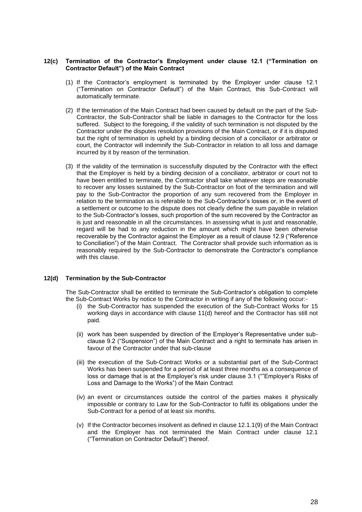#### **12(c) Termination of the Contractor's Employment under clause 12.1 ("Termination on Contractor Default") of the Main Contract**

- (1) If the Contractor's employment is terminated by the Employer under clause 12.1 ("Termination on Contractor Default") of the Main Contract, this Sub-Contract will automatically terminate.
- (2) If the termination of the Main Contract had been caused by default on the part of the Sub-Contractor, the Sub-Contractor shall be liable in damages to the Contractor for the loss suffered. Subject to the foregoing, if the validity of such termination is not disputed by the Contractor under the disputes resolution provisions of the Main Contract, or if it is disputed but the right of termination is upheld by a binding decision of a conciliator or arbitrator or court, the Contractor will indemnify the Sub-Contractor in relation to all loss and damage incurred by it by reason of the termination.
- (3) If the validity of the termination is successfully disputed by the Contractor with the effect that the Employer is held by a binding decision of a conciliator, arbitrator or court not to have been entitled to terminate, the Contractor shall take whatever steps are reasonable to recover any losses sustained by the Sub-Contractor on foot of the termination and will pay to the Sub-Contractor the proportion of any sum recovered from the Employer in relation to the termination as is referable to the Sub-Contractor's losses or, in the event of a settlement or outcome to the dispute does not clearly define the sum payable in relation to the Sub-Contractor's losses, such proportion of the sum recovered by the Contractor as is iust and reasonable in all the circumstances. In assessing what is just and reasonable, regard will be had to any reduction in the amount which might have been otherwise recoverable by the Contractor against the Employer as a result of clause 12.9 ("Reference to Conciliation") of the Main Contract. The Contractor shall provide such information as is reasonably required by the Sub-Contractor to demonstrate the Contractor's compliance with this clause.

#### **12(d) Termination by the Sub-Contractor**

The Sub-Contractor shall be entitled to terminate the Sub-Contractor's obligation to complete the Sub-Contract Works by notice to the Contractor in writing if any of the following occur:-

- (i) the Sub-Contractor has suspended the execution of the Sub-Contract Works for 15 working days in accordance with clause 11(d) hereof and the Contractor has still not paid.
- (ii) work has been suspended by direction of the Employer's Representative under subclause 9.2 ("Suspension") of the Main Contract and a right to terminate has arisen in favour of the Contractor under that sub-clause
- (iii) the execution of the Sub-Contract Works or a substantial part of the Sub-Contract Works has been suspended for a period of at least three months as a consequence of loss or damage that is at the Employer's risk under clause 3.1 (""Employer's Risks of Loss and Damage to the Works") of the Main Contract
- (iv) an event or circumstances outside the control of the parties makes it physically impossible or contrary to Law for the Sub-Contractor to fulfil its obligations under the Sub-Contract for a period of at least six months.
- (v) If the Contractor becomes insolvent as defined in clause 12.1.1(9) of the Main Contract and the Employer has not terminated the Main Contract under clause 12.1 ("Termination on Contractor Default") thereof.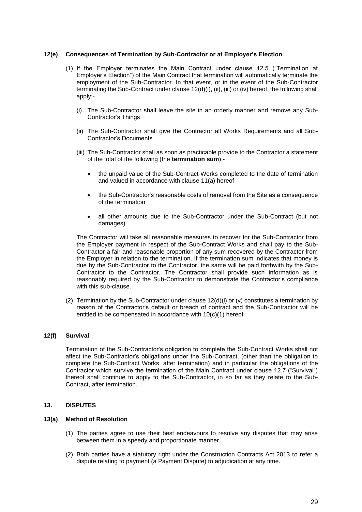#### **12(e) Consequences of Termination by Sub-Contractor or at Employer's Election**

- (1) If the Employer terminates the Main Contract under clause 12.5 ("Termination at Employer's Election") of the Main Contract that termination will automatically terminate the employment of the Sub-Contractor. In that event, or in the event of the Sub-Contractor terminating the Sub-Contract under clause 12(d)(i), (ii), (iii) or (iv) hereof, the following shall apply:-
	- (i) The Sub-Contractor shall leave the site in an orderly manner and remove any Sub-Contractor's Things
	- (ii) The Sub-Contractor shall give the Contractor all Works Requirements and all Sub-Contractor's Documents
	- (iii) The Sub-Contractor shall as soon as practicable provide to the Contractor a statement of the total of the following (the **termination sum**):-
		- the unpaid value of the Sub-Contract Works completed to the date of termination and valued in accordance with clause 11(a) hereof
		- the Sub-Contractor's reasonable costs of removal from the Site as a consequence of the termination
		- all other amounts due to the Sub-Contractor under the Sub-Contract (but not damages)

The Contractor will take all reasonable measures to recover for the Sub-Contractor from the Employer payment in respect of the Sub-Contract Works and shall pay to the Sub-Contractor a fair and reasonable proportion of any sum recovered by the Contractor from the Employer in relation to the termination. If the termination sum indicates that money is due by the Sub-Contractor to the Contractor, the same will be paid forthwith by the Sub-Contractor to the Contractor. The Contractor shall provide such information as is reasonably required by the Sub-Contractor to demonstrate the Contractor's compliance with this sub-clause.

(2) Termination by the Sub-Contractor under clause  $12(d)(i)$  or (v) constitutes a termination by reason of the Contractor's default or breach of contract and the Sub-Contractor will be entitled to be compensated in accordance with 10(c)(1) hereof.

#### **12(f) Survival**

Termination of the Sub-Contractor's obligation to complete the Sub-Contract Works shall not affect the Sub-Contractor's obligations under the Sub-Contract, (other than the obligation to complete the Sub-Contract Works, after termination) and in particular the obligations of the Contractor which survive the termination of the Main Contract under clause 12.7 ("Survival") thereof shall continue to apply to the Sub-Contractor, in so far as they relate to the Sub-Contract, after termination.

#### **13. DISPUTES**

#### **13(a) Method of Resolution**

- (1) The parties agree to use their best endeavours to resolve any disputes that may arise between them in a speedy and proportionate manner.
- (2) Both parties have a statutory right under the Construction Contracts Act 2013 to refer a dispute relating to payment (a Payment Dispute) to adjudication at any time.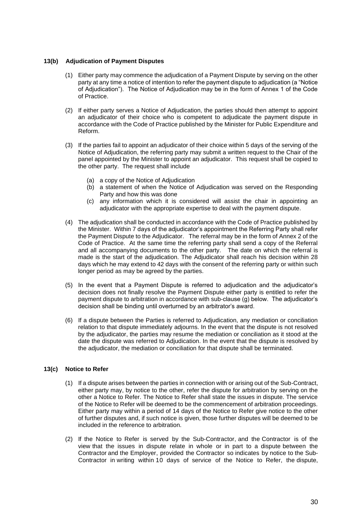#### **13(b) Adjudication of Payment Disputes**

- (1) Either party may commence the adjudication of a Payment Dispute by serving on the other party at any time a notice of intention to refer the payment dispute to adjudication (a "Notice of Adjudication"). The Notice of Adjudication may be in the form of Annex 1 of the Code of Practice.
- (2) If either party serves a Notice of Adjudication, the parties should then attempt to appoint an adjudicator of their choice who is competent to adjudicate the payment dispute in accordance with the Code of Practice published by the Minister for Public Expenditure and Reform.
- (3) If the parties fail to appoint an adjudicator of their choice within 5 days of the serving of the Notice of Adjudication, the referring party may submit a written request to the Chair of the panel appointed by the Minister to appoint an adjudicator. This request shall be copied to the other party. The request shall include
	- (a) a copy of the Notice of Adjudication
	- (b) a statement of when the Notice of Adjudication was served on the Responding Party and how this was done
	- (c) any information which it is considered will assist the chair in appointing an adjudicator with the appropriate expertise to deal with the payment dispute.
- (4) The adjudication shall be conducted in accordance with the Code of Practice published by the Minister. Within 7 days of the adjudicator's appointment the Referring Party shall refer the Payment Dispute to the Adjudicator. The referral may be in the form of Annex 2 of the Code of Practice. At the same time the referring party shall send a copy of the Referral and all accompanying documents to the other party. The date on which the referral is made is the start of the adjudication. The Adjudicator shall reach his decision within 28 days which he may extend to 42 days with the consent of the referring party or within such longer period as may be agreed by the parties.
- (5) In the event that a Payment Dispute is referred to adjudication and the adjudicator's decision does not finally resolve the Payment Dispute either party is entitled to refer the payment dispute to arbitration in accordance with sub-clause (g) below. The adjudicator's decision shall be binding until overturned by an arbitrator's award.
- (6) If a dispute between the Parties is referred to Adjudication, any mediation or conciliation relation to that dispute immediately adjourns. In the event that the dispute is not resolved by the adjudicator, the parties may resume the mediation or conciliation as it stood at the date the dispute was referred to Adjudication. In the event that the dispute is resolved by the adjudicator, the mediation or conciliation for that dispute shall be terminated.

#### **13(c) Notice to Refer**

- (1) If a dispute arises between the parties in connection with or arising out of the Sub-Contract, either party may, by notice to the other, refer the dispute for arbitration by serving on the other a Notice to Refer. The Notice to Refer shall state the issues in dispute. The service of the Notice to Refer will be deemed to be the commencement of arbitration proceedings. Either party may within a period of 14 days of the Notice to Refer give notice to the other of further disputes and, if such notice is given, those further disputes will be deemed to be included in the reference to arbitration.
- (2) If the Notice to Refer is served by the Sub-Contractor, and the Contractor is of the view that the issues in dispute relate in whole or in part to a dispute between the Contractor and the Employer, provided the Contractor so indicates by notice to the Sub-Contractor in writing within 10 days of service of the Notice to Refer, the dispute,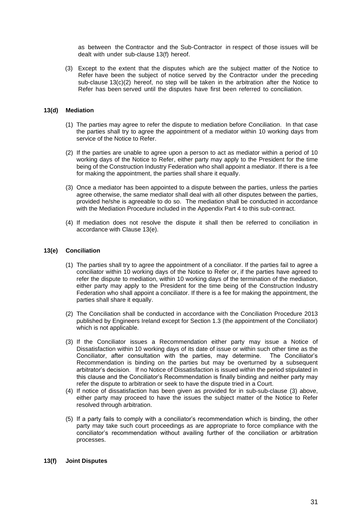as between the Contractor and the Sub-Contractor in respect of those issues will be dealt with under sub-clause 13(f) hereof.

(3) Except to the extent that the disputes which are the subject matter of the Notice to Refer have been the subject of notice served by the Contractor under the preceding sub-clause  $13(c)(2)$  hereof, no step will be taken in the arbitration after the Notice to Refer has been served until the disputes have first been referred to conciliation.

#### **13(d) Mediation**

- (1) The parties may agree to refer the dispute to mediation before Conciliation. In that case the parties shall try to agree the appointment of a mediator within 10 working days from service of the Notice to Refer.
- (2) If the parties are unable to agree upon a person to act as mediator within a period of 10 working days of the Notice to Refer, either party may apply to the President for the time being of the Construction Industry Federation who shall appoint a mediator. If there is a fee for making the appointment, the parties shall share it equally.
- (3) Once a mediator has been appointed to a dispute between the parties, unless the parties agree otherwise, the same mediator shall deal with all other disputes between the parties, provided he/she is agreeable to do so. The mediation shall be conducted in accordance with the Mediation Procedure included in the Appendix Part 4 to this sub-contract.
- (4) If mediation does not resolve the dispute it shall then be referred to conciliation in accordance with Clause 13(e).

#### **13(e) Conciliation**

- (1) The parties shall try to agree the appointment of a conciliator. If the parties fail to agree a conciliator within 10 working days of the Notice to Refer or, if the parties have agreed to refer the dispute to mediation, within 10 working days of the termination of the mediation, either party may apply to the President for the time being of the Construction Industry Federation who shall appoint a conciliator. If there is a fee for making the appointment, the parties shall share it equally.
- (2) The Conciliation shall be conducted in accordance with the Conciliation Procedure 2013 published by Engineers Ireland except for Section 1.3 (the appointment of the Conciliator) which is not applicable.
- (3) If the Conciliator issues a Recommendation either party may issue a Notice of Dissatisfaction within 10 working days of its date of issue or within such other time as the Conciliator, after consultation with the parties, may determine. The Conciliator's Recommendation is binding on the parties but may be overturned by a subsequent arbitrator's decision. If no Notice of Dissatisfaction is issued within the period stipulated in this clause and the Conciliator's Recommendation is finally binding and neither party may refer the dispute to arbitration or seek to have the dispute tried in a Court.
- (4) If notice of dissatisfaction has been given as provided for in sub-sub-clause (3) above, either party may proceed to have the issues the subject matter of the Notice to Refer resolved through arbitration.
- (5) If a party fails to comply with a conciliator's recommendation which is binding, the other party may take such court proceedings as are appropriate to force compliance with the conciliator's recommendation without availing further of the conciliation or arbitration processes.

#### **13(f) Joint Disputes**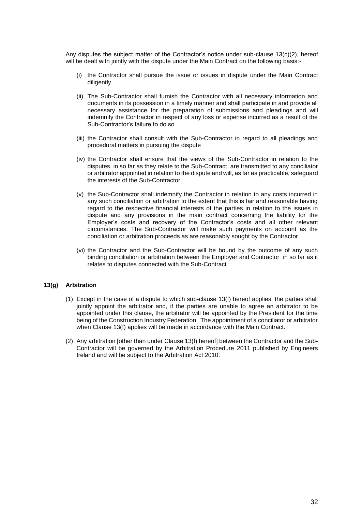Any disputes the subject matter of the Contractor's notice under sub-clause 13(c)(2), hereof will be dealt with jointly with the dispute under the Main Contract on the following basis:-

- (i) the Contractor shall pursue the issue or issues in dispute under the Main Contract diligently
- (ii) The Sub-Contractor shall furnish the Contractor with all necessary information and documents in its possession in a timely manner and shall participate in and provide all necessary assistance for the preparation of submissions and pleadings and will indemnify the Contractor in respect of any loss or expense incurred as a result of the Sub-Contractor's failure to do so
- (iii) the Contractor shall consult with the Sub-Contractor in regard to all pleadings and procedural matters in pursuing the dispute
- (iv) the Contractor shall ensure that the views of the Sub-Contractor in relation to the disputes, in so far as they relate to the Sub-Contract, are transmitted to any conciliator or arbitrator appointed in relation to the dispute and will, as far as practicable, safeguard the interests of the Sub-Contractor
- (v) the Sub-Contractor shall indemnify the Contractor in relation to any costs incurred in any such conciliation or arbitration to the extent that this is fair and reasonable having regard to the respective financial interests of the parties in relation to the issues in dispute and any provisions in the main contract concerning the liability for the Employer's costs and recovery of the Contractor's costs and all other relevant circumstances. The Sub-Contractor will make such payments on account as the conciliation or arbitration proceeds as are reasonably sought by the Contractor
- (vi) the Contractor and the Sub-Contractor will be bound by the outcome of any such binding conciliation or arbitration between the Employer and Contractor in so far as it relates to disputes connected with the Sub-Contract

#### **13(g) Arbitration**

- (1) Except in the case of a dispute to which sub-clause 13(f) hereof applies, the parties shall jointly appoint the arbitrator and, if the parties are unable to agree an arbitrator to be appointed under this clause, the arbitrator will be appointed by the President for the time being of the Construction Industry Federation. The appointment of a conciliator or arbitrator when Clause 13(f) applies will be made in accordance with the Main Contract.
- (2) Any arbitration [other than under Clause 13(f) hereof] between the Contractor and the Sub-Contractor will be governed by the Arbitration Procedure 2011 published by Engineers Ireland and will be subject to the Arbitration Act 2010.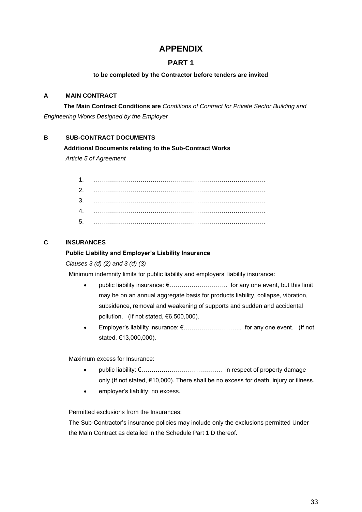## **APPENDIX**

## **PART 1**

### **to be completed by the Contractor before tenders are invited**

## **A MAIN CONTRACT**

**The Main Contract Conditions are** *Conditions of Contract for Private Sector Building and Engineering Works Designed by the Employer* 

## **B SUB-CONTRACT DOCUMENTS**

### **Additional Documents relating to the Sub-Contract Works**

*Article 5 of Agreement* 

| 3. |  |
|----|--|
|    |  |
| 5. |  |

## **C INSURANCES**

## **Public Liability and Employer's Liability Insurance**

*Clauses 3 (d) (2) and 3 (d) (3)* 

Minimum indemnity limits for public liability and employers' liability insurance:

- public liability insurance: €……………………….. for any one event, but this limit may be on an annual aggregate basis for products liability, collapse, vibration, subsidence, removal and weakening of supports and sudden and accidental pollution. (If not stated, €6,500,000).
- Employer's liability insurance: €……………………….. for any one event. (If not stated, €13,000,000).

Maximum excess for Insurance:

- public liability: €…………………………………. in respect of property damage only (If not stated, €10,000). There shall be no excess for death, injury or illness.
- employer's liability: no excess.

Permitted exclusions from the Insurances:

The Sub-Contractor's insurance policies may include only the exclusions permitted Under the Main Contract as detailed in the Schedule Part 1 D thereof.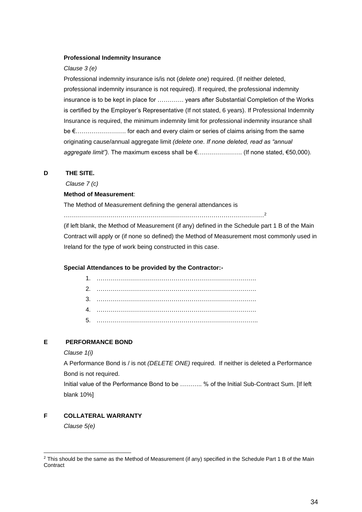#### **Professional Indemnity Insurance**

#### *Clause 3 (e)*

Professional indemnity insurance is/is not (*delete one*) required. (If neither deleted, professional indemnity insurance is not required). If required, the professional indemnity insurance is to be kept in place for …………. years after Substantial Completion of the Works is certified by the Employer's Representative (If not stated, 6 years). If Professional Indemnity Insurance is required, the minimum indemnity limit for professional indemnity insurance shall be €……………………. for each and every claim or series of claims arising from the same originating cause/annual aggregate limit *(delete one. If none deleted, read as "annual aggregate limit").* The maximum excess shall be €…………………. (If none stated, €50,000).

#### **D THE SITE.**

*Clause 7 (c)* 

#### **Method of Measurement**:

The Method of Measurement defining the general attendances is

………………………………………………………………………………………<sup>2</sup>

(if left blank, the Method of Measurement (if any) defined in the Schedule part 1 B of the Main Contract will apply or (if none so defined) the Method of Measurement most commonly used in Ireland for the type of work being constructed in this case.

#### **Special Attendances to be provided by the Contractor:-**

### **E PERFORMANCE BOND**

#### *Clause 1(i)*

A Performance Bond is / is not *(DELETE ONE)* required. If neither is deleted a Performance Bond is not required.

Initial value of the Performance Bond to be ……….. % of the Initial Sub-Contract Sum. [If left blank 10%]

## **F COLLATERAL WARRANTY**

*Clause 5(e)*

<sup>&</sup>lt;sup>2</sup> This should be the same as the Method of Measurement (if any) specified in the Schedule Part 1 B of the Main **Contract**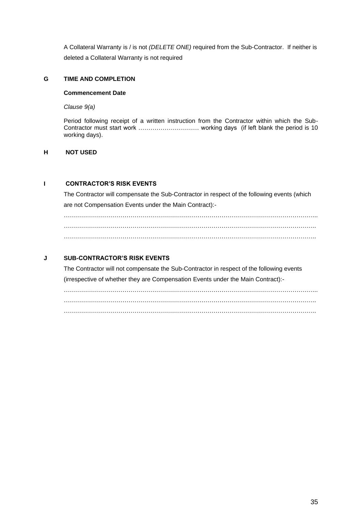A Collateral Warranty is / is not *(DELETE ONE)* required from the Sub-Contractor. If neither is deleted a Collateral Warranty is not required

#### **G TIME AND COMPLETION**

#### **Commencement Date**

*Clause 9(a)*

Period following receipt of a written instruction from the Contractor within which the Sub-Contractor must start work ………………………… working days (if left blank the period is 10 working days).

### **H NOT USED**

## **I CONTRACTOR'S RISK EVENTS**

The Contractor will compensate the Sub-Contractor in respect of the following events (which are not Compensation Events under the Main Contract):-

……………………………………………………………………………………………………………... ……………………………………………………………………………………………………………..

## **J SUB-CONTRACTOR'S RISK EVENTS**

The Contractor will not compensate the Sub-Contractor in respect of the following events (irrespective of whether they are Compensation Events under the Main Contract):-

……………………………………………………………………………………………………………... ……………………………………………………………………………………………………………..  $\mathcal{L}_{\mathcal{M}}$  , and the contract of the contract of the contract of the contract of the contract of the contract of the contract of the contract of the contract of the contract of the contract of the contract of the cont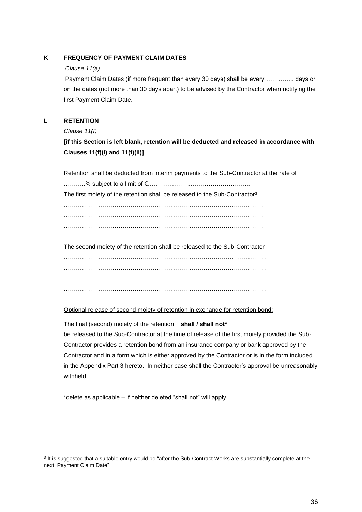## **K FREQUENCY OF PAYMENT CLAIM DATES**

#### *Clause 11(a)*

Payment Claim Dates (if more frequent than every 30 days) shall be every ………….. days or on the dates (not more than 30 days apart) to be advised by the Contractor when notifying the first Payment Claim Date.

## **L RETENTION**

*Clause 11(f)*

## **[if this Section is left blank, retention will be deducted and released in accordance with Clauses 11(f)(i) and 11(f)(ii)]**

Retention shall be deducted from interim payments to the Sub-Contractor at the rate of

………..% subject to a limit of €…………………………………………... The first moiety of the retention shall be released to the Sub-Contractor<sup>3</sup> ……………………………………………………………………………………… ……………………………………………………………………………………… ……………………………………………………………………………………… ……………………………………………………………………………………… The second moiety of the retention shall be released to the Sub-Contractor ………………………………………………………………………………………. ………………………………………………………………………………………. ………………………………………………………………………………………. ……………………………………………………………………………………….

Optional release of second moiety of retention in exchange for retention bond:

The final (second) moiety of the retention **shall / shall not\***

be released to the Sub-Contractor at the time of release of the first moiety provided the Sub-Contractor provides a retention bond from an insurance company or bank approved by the Contractor and in a form which is either approved by the Contractor or is in the form included in the Appendix Part 3 hereto. In neither case shall the Contractor's approval be unreasonably withheld.

\*delete as applicable – if neither deleted "shall not" will apply

<sup>&</sup>lt;sup>3</sup> It is suggested that a suitable entry would be "after the Sub-Contract Works are substantially complete at the next Payment Claim Date"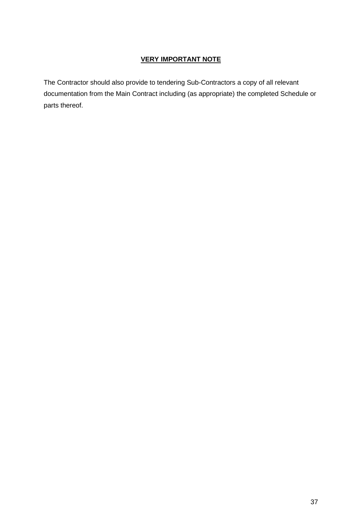## **VERY IMPORTANT NOTE**

The Contractor should also provide to tendering Sub-Contractors a copy of all relevant documentation from the Main Contract including (as appropriate) the completed Schedule or parts thereof.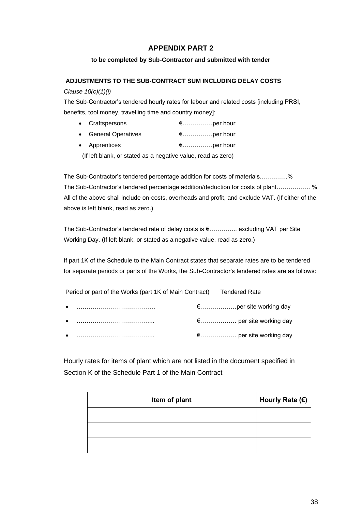## **APPENDIX PART 2**

#### **to be completed by Sub-Contractor and submitted with tender**

#### **ADJUSTMENTS TO THE SUB-CONTRACT SUM INCLUDING DELAY COSTS**

#### *Clause 10(c)(1)(i)*

The Sub-Contractor's tendered hourly rates for labour and related costs [including PRSI, benefits, tool money, travelling time and country money]:

| • Craftspersons      | $\epsilon$ per hour |
|----------------------|---------------------|
| • General Operatives | $\epsilon$ per hour |
| • Apprentices        | $\epsilon$ per hour |

(If left blank, or stated as a negative value, read as zero)

The Sub-Contractor's tendered percentage addition for costs of materials…………..% The Sub-Contractor's tendered percentage addition/deduction for costs of plant…………….. % All of the above shall include on-costs, overheads and profit, and exclude VAT. (If either of the above is left blank, read as zero.)

The Sub-Contractor's tendered rate of delay costs is €………….. excluding VAT per Site Working Day. (If left blank, or stated as a negative value, read as zero.)

If part 1K of the Schedule to the Main Contract states that separate rates are to be tendered for separate periods or parts of the Works, the Sub-Contractor's tendered rates are as follows:

Period or part of the Works (part 1K of Main Contract) Tendered Rate

|  | € per site working day |
|--|------------------------|

Hourly rates for items of plant which are not listed in the document specified in Section K of the Schedule Part 1 of the Main Contract

| Item of plant | Hourly Rate $(\epsilon)$ |
|---------------|--------------------------|
|               |                          |
|               |                          |
|               |                          |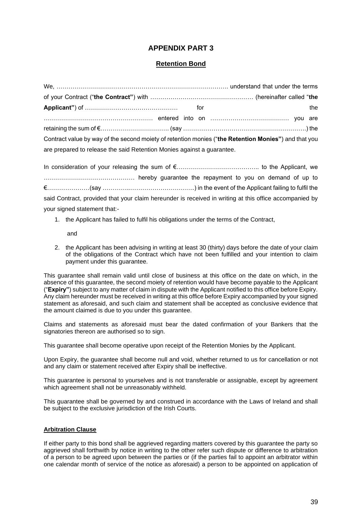## **APPENDIX PART 3**

## **Retention Bond**

|                                                                                                      |  | the |
|------------------------------------------------------------------------------------------------------|--|-----|
|                                                                                                      |  |     |
|                                                                                                      |  |     |
| Contract value by way of the second moiety of retention monies ("the Retention Monies") and that you |  |     |
| are prepared to release the said Retention Monies against a guarantee.                               |  |     |

In consideration of your releasing the sum of €………………………………….. to the Applicant, we ……………………………………… hereby guarantee the repayment to you on demand of up to €…………………(say …………..…………………………..) in the event of the Applicant failing to fulfil the said Contract, provided that your claim hereunder is received in writing at this office accompanied by your signed statement that:-

1. the Applicant has failed to fulfil his obligations under the terms of the Contract,

#### and

2. the Applicant has been advising in writing at least 30 (thirty) days before the date of your claim of the obligations of the Contract which have not been fulfilled and your intention to claim payment under this guarantee.

This guarantee shall remain valid until close of business at this office on the date on which, in the absence of this guarantee, the second moiety of retention would have become payable to the Applicant ("**Expiry"**) subject to any matter of claim in dispute with the Applicant notified to this office before Expiry. Any claim hereunder must be received in writing at this office before Expiry accompanied by your signed statement as aforesaid, and such claim and statement shall be accepted as conclusive evidence that the amount claimed is due to you under this guarantee.

Claims and statements as aforesaid must bear the dated confirmation of your Bankers that the signatories thereon are authorised so to sign.

This guarantee shall become operative upon receipt of the Retention Monies by the Applicant.

Upon Expiry, the guarantee shall become null and void, whether returned to us for cancellation or not and any claim or statement received after Expiry shall be ineffective.

This guarantee is personal to yourselves and is not transferable or assignable, except by agreement which agreement shall not be unreasonably withheld.

This guarantee shall be governed by and construed in accordance with the Laws of Ireland and shall be subject to the exclusive jurisdiction of the Irish Courts.

#### **Arbitration Clause**

If either party to this bond shall be aggrieved regarding matters covered by this guarantee the party so aggrieved shall forthwith by notice in writing to the other refer such dispute or difference to arbitration of a person to be agreed upon between the parties or (if the parties fail to appoint an arbitrator within one calendar month of service of the notice as aforesaid) a person to be appointed on application of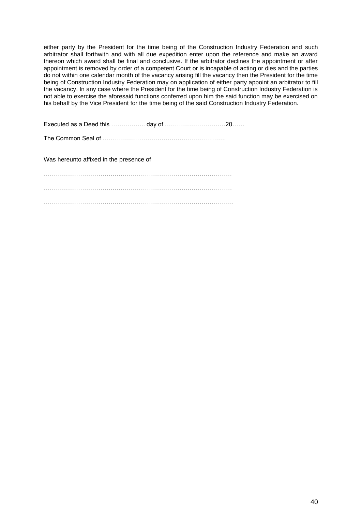either party by the President for the time being of the Construction Industry Federation and such arbitrator shall forthwith and with all due expedition enter upon the reference and make an award thereon which award shall be final and conclusive. If the arbitrator declines the appointment or after appointment is removed by order of a competent Court or is incapable of acting or dies and the parties do not within one calendar month of the vacancy arising fill the vacancy then the President for the time being of Construction Industry Federation may on application of either party appoint an arbitrator to fill the vacancy. In any case where the President for the time being of Construction Industry Federation is not able to exercise the aforesaid functions conferred upon him the said function may be exercised on his behalf by the Vice President for the time being of the said Construction Industry Federation.

Executed as a Deed this …………….. day of …………………………20……

The Common Seal of …………………………………………………….

Was hereunto affixed in the presence of

………………………………………………………………………………… . The same state of the same state of the same state of the same state of the same state of the same state of the same state of the same state of the same state of the same state of the same state of the same state of the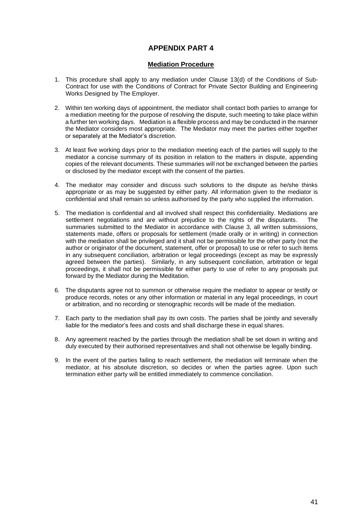## **APPENDIX PART 4**

#### **Mediation Procedure**

- 1. This procedure shall apply to any mediation under Clause 13(d) of the Conditions of Sub-Contract for use with the Conditions of Contract for Private Sector Building and Engineering Works Designed by The Employer.
- 2. Within ten working days of appointment, the mediator shall contact both parties to arrange for a mediation meeting for the purpose of resolving the dispute, such meeting to take place within a further ten working days. Mediation is a flexible process and may be conducted in the manner the Mediator considers most appropriate. The Mediator may meet the parties either together or separately at the Mediator's discretion.
- 3. At least five working days prior to the mediation meeting each of the parties will supply to the mediator a concise summary of its position in relation to the matters in dispute, appending copies of the relevant documents. These summaries will not be exchanged between the parties or disclosed by the mediator except with the consent of the parties.
- 4. The mediator may consider and discuss such solutions to the dispute as he/she thinks appropriate or as may be suggested by either party. All information given to the mediator is confidential and shall remain so unless authorised by the party who supplied the information.
- 5. The mediation is confidential and all involved shall respect this confidentiality. Mediations are settlement negotiations and are without prejudice to the rights of the disputants. The summaries submitted to the Mediator in accordance with Clause 3, all written submissions, statements made, offers or proposals for settlement (made orally or in writing) in connection with the mediation shall be privileged and it shall not be permissible for the other party (not the author or originator of the document, statement, offer or proposal) to use or refer to such items in any subsequent conciliation, arbitration or legal proceedings (except as may be expressly agreed between the parties). Similarly, in any subsequent conciliation, arbitration or legal proceedings, it shall not be permissible for either party to use of refer to any proposals put forward by the Mediator during the Meditation.
- 6. The disputants agree not to summon or otherwise require the mediator to appear or testify or produce records, notes or any other information or material in any legal proceedings, in court or arbitration, and no recording or stenographic records will be made of the mediation.
- 7. Each party to the mediation shall pay its own costs. The parties shall be jointly and severally liable for the mediator's fees and costs and shall discharge these in equal shares.
- 8. Any agreement reached by the parties through the mediation shall be set down in writing and duly executed by their authorised representatives and shall not otherwise be legally binding.
- 9. In the event of the parties failing to reach settlement, the mediation will terminate when the mediator, at his absolute discretion, so decides or when the parties agree. Upon such termination either party will be entitled immediately to commence conciliation.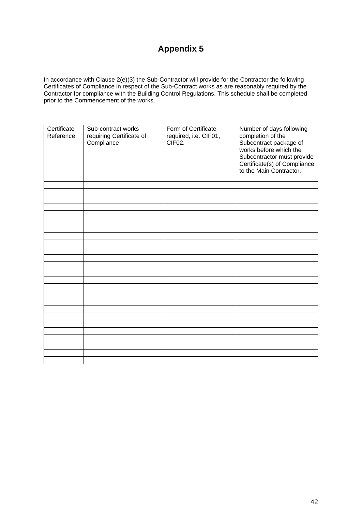# **Appendix 5**

In accordance with Clause 2(e)(3) the Sub-Contractor will provide for the Contractor the following Certificates of Compliance in respect of the Sub-Contract works as are reasonably required by the Contractor for compliance with the Building Control Regulations. This schedule shall be completed prior to the Commencement of the works.

| Certificate<br>Reference | Sub-contract works<br>requiring Certificate of<br>Compliance | Form of Certificate<br>required, i.e. CIF01,<br>CIF <sub>02</sub> . | Number of days following<br>completion of the<br>Subcontract package of<br>works before which the<br>Subcontractor must provide<br>Certificate(s) of Compliance<br>to the Main Contractor. |
|--------------------------|--------------------------------------------------------------|---------------------------------------------------------------------|--------------------------------------------------------------------------------------------------------------------------------------------------------------------------------------------|
|                          |                                                              |                                                                     |                                                                                                                                                                                            |
|                          |                                                              |                                                                     |                                                                                                                                                                                            |
|                          |                                                              |                                                                     |                                                                                                                                                                                            |
|                          |                                                              |                                                                     |                                                                                                                                                                                            |
|                          |                                                              |                                                                     |                                                                                                                                                                                            |
|                          |                                                              |                                                                     |                                                                                                                                                                                            |
|                          |                                                              |                                                                     |                                                                                                                                                                                            |
|                          |                                                              |                                                                     |                                                                                                                                                                                            |
|                          |                                                              |                                                                     |                                                                                                                                                                                            |
|                          |                                                              |                                                                     |                                                                                                                                                                                            |
|                          |                                                              |                                                                     |                                                                                                                                                                                            |
|                          |                                                              |                                                                     |                                                                                                                                                                                            |
|                          |                                                              |                                                                     |                                                                                                                                                                                            |
|                          |                                                              |                                                                     |                                                                                                                                                                                            |
|                          |                                                              |                                                                     |                                                                                                                                                                                            |
|                          |                                                              |                                                                     |                                                                                                                                                                                            |
|                          |                                                              |                                                                     |                                                                                                                                                                                            |
|                          |                                                              |                                                                     |                                                                                                                                                                                            |
|                          |                                                              |                                                                     |                                                                                                                                                                                            |
|                          |                                                              |                                                                     |                                                                                                                                                                                            |
|                          |                                                              |                                                                     |                                                                                                                                                                                            |
|                          |                                                              |                                                                     |                                                                                                                                                                                            |
|                          |                                                              |                                                                     |                                                                                                                                                                                            |
|                          |                                                              |                                                                     |                                                                                                                                                                                            |
|                          |                                                              |                                                                     |                                                                                                                                                                                            |